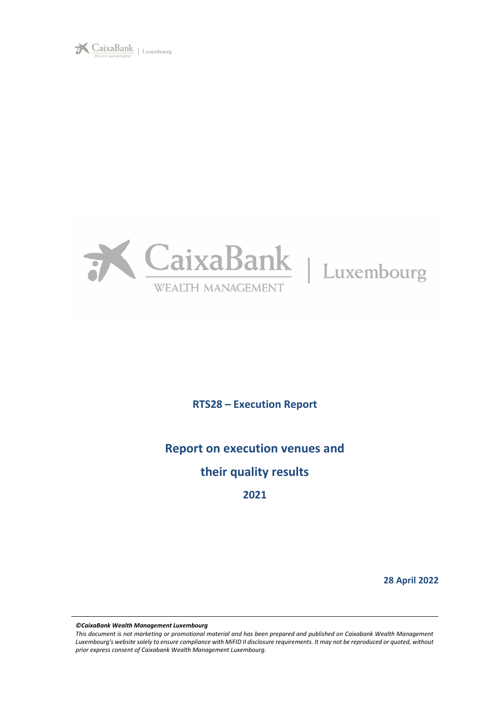



# **RTS28 – Execution Report**

# **Report on execution venues and**

# **their quality results**

**2021**

**28 April 2022**

*©CaixaBank Wealth Management Luxembourg*

*This document is not marketing or promotional material and has been prepared and published on Caixabank Wealth Management*  Luxembourg's website solely to ensure compliance with MiFID II disclosure requirements. It may not be reproduced or quoted, without *prior express consent of Caixabank Wealth Management Luxembourg.*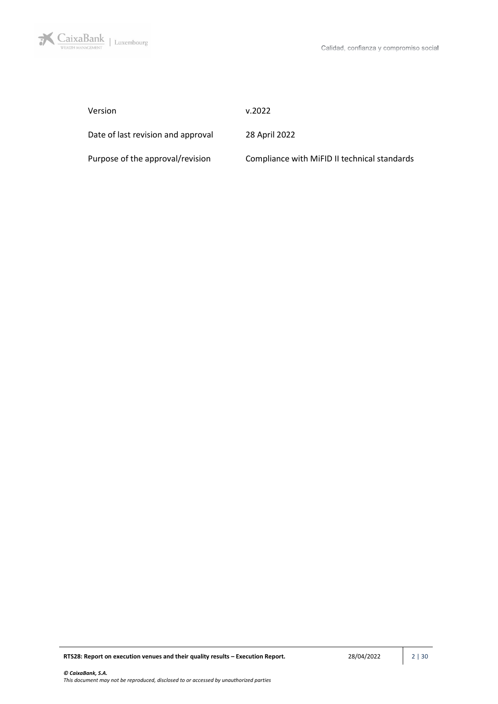

| Version                            | v.2022                                       |
|------------------------------------|----------------------------------------------|
| Date of last revision and approval | 28 April 2022                                |
| Purpose of the approval/revision   | Compliance with MiFID II technical standards |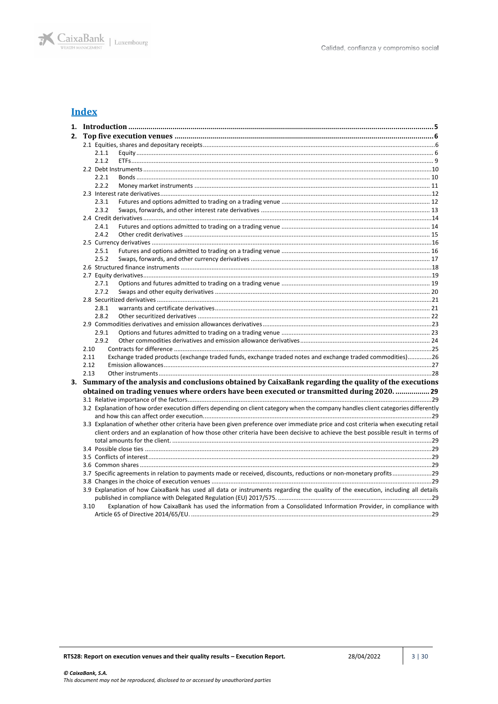

# **Index**

|    |      | 2.1.1 |                                                                                                                                    |  |
|----|------|-------|------------------------------------------------------------------------------------------------------------------------------------|--|
|    |      | 2.1.2 |                                                                                                                                    |  |
|    |      |       |                                                                                                                                    |  |
|    |      | 2.2.1 |                                                                                                                                    |  |
|    |      | 2.2.2 |                                                                                                                                    |  |
|    |      |       |                                                                                                                                    |  |
|    |      | 2.3.1 |                                                                                                                                    |  |
|    |      | 2.3.2 |                                                                                                                                    |  |
|    |      |       |                                                                                                                                    |  |
|    |      | 2.4.1 |                                                                                                                                    |  |
|    |      | 2.4.2 |                                                                                                                                    |  |
|    |      |       |                                                                                                                                    |  |
|    |      | 2.5.1 |                                                                                                                                    |  |
|    |      | 2.5.2 |                                                                                                                                    |  |
|    |      |       |                                                                                                                                    |  |
|    |      |       |                                                                                                                                    |  |
|    |      | 2.7.1 |                                                                                                                                    |  |
|    |      | 2.7.2 |                                                                                                                                    |  |
|    |      |       |                                                                                                                                    |  |
|    |      | 2.8.1 |                                                                                                                                    |  |
|    |      | 2.8.2 |                                                                                                                                    |  |
|    |      |       |                                                                                                                                    |  |
|    |      | 2.9.1 |                                                                                                                                    |  |
|    |      | 2.9.2 |                                                                                                                                    |  |
|    | 2.10 |       |                                                                                                                                    |  |
|    | 2.11 |       | Exchange traded products (exchange traded funds, exchange traded notes and exchange traded commodities)26                          |  |
|    | 2.12 |       |                                                                                                                                    |  |
|    | 2.13 |       |                                                                                                                                    |  |
| 3. |      |       | Summary of the analysis and conclusions obtained by CaixaBank regarding the quality of the executions                              |  |
|    |      |       | obtained on trading venues where orders have been executed or transmitted during 2020.  29                                         |  |
|    |      |       |                                                                                                                                    |  |
|    |      |       | 3.2 Explanation of how order execution differs depending on client category when the company handles client categories differently |  |
|    |      |       |                                                                                                                                    |  |
|    |      |       | 3.3 Explanation of whether other criteria have been given preference over immediate price and cost criteria when executing retail  |  |
|    |      |       | client orders and an explanation of how those other criteria have been decisive to achieve the best possible result in terms of    |  |
|    |      |       |                                                                                                                                    |  |
|    |      |       |                                                                                                                                    |  |
|    |      |       |                                                                                                                                    |  |
|    |      |       |                                                                                                                                    |  |
|    |      |       |                                                                                                                                    |  |
|    |      |       |                                                                                                                                    |  |
|    |      |       | 3.9 Explanation of how CaixaBank has used all data or instruments regarding the quality of the execution, including all details    |  |
|    |      |       |                                                                                                                                    |  |
|    | 3.10 |       | Explanation of how CaixaBank has used the information from a Consolidated Information Provider, in compliance with                 |  |
|    |      |       |                                                                                                                                    |  |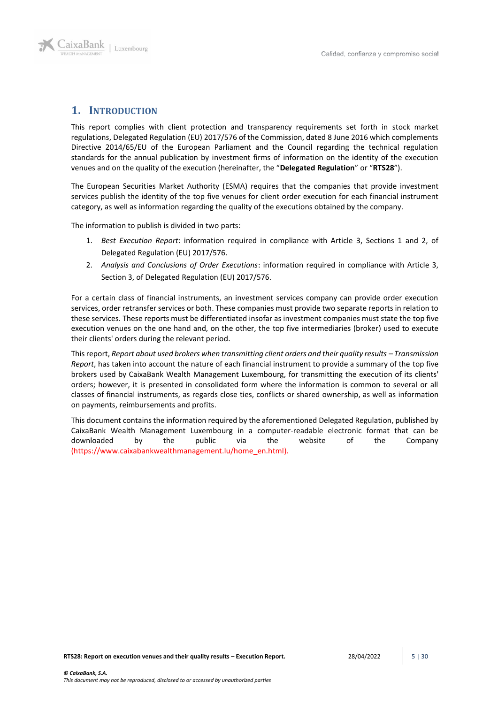

## <span id="page-4-0"></span>**1. INTRODUCTION**

This report complies with client protection and transparency requirements set forth in stock market regulations, Delegated Regulation (EU) 2017/576 of the Commission, dated 8 June 2016 which complements Directive 2014/65/EU of the European Parliament and the Council regarding the technical regulation standards for the annual publication by investment firms of information on the identity of the execution venues and on the quality of the execution (hereinafter, the "**Delegated Regulation**" or "**RTS28**").

The European Securities Market Authority (ESMA) requires that the companies that provide investment services publish the identity of the top five venues for client order execution for each financial instrument category, as well as information regarding the quality of the executions obtained by the company.

The information to publish is divided in two parts:

- 1. *Best Execution Report*: information required in compliance with Article 3, Sections 1 and 2, of Delegated Regulation (EU) 2017/576.
- 2. *Analysis and Conclusions of Order Executions*: information required in compliance with Article 3, Section 3, of Delegated Regulation (EU) 2017/576.

For a certain class of financial instruments, an investment services company can provide order execution services, order retransfer services or both. These companies must provide two separate reports in relation to these services. These reports must be differentiated insofar as investment companies must state the top five execution venues on the one hand and, on the other, the top five intermediaries (broker) used to execute their clients' orders during the relevant period.

This report, *Report about used brokers when transmitting client orders and their quality results – Transmission Report*, has taken into account the nature of each financial instrument to provide a summary of the top five brokers used by CaixaBank Wealth Management Luxembourg, for transmitting the execution of its clients' orders; however, it is presented in consolidated form where the information is common to several or all classes of financial instruments, as regards close ties, conflicts or shared ownership, as well as information on payments, reimbursements and profits.

This document contains the information required by the aforementioned Delegated Regulation, published by CaixaBank Wealth Management Luxembourg in a computer-readable electronic format that can be downloaded by the public via the website of the Company (https://www.caixabankwealthmanagement.lu/home\_en.html).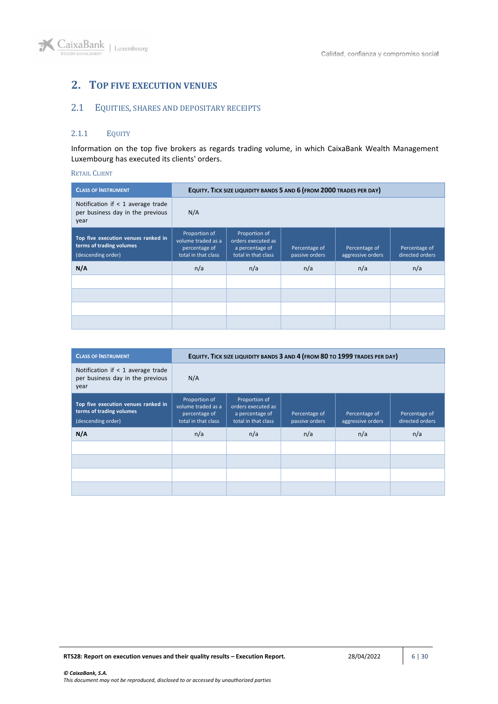# <span id="page-5-0"></span>**2. TOP FIVE EXECUTION VENUES**

# <span id="page-5-1"></span>2.1 EQUITIES, SHARES AND DEPOSITARY RECEIPTS

### <span id="page-5-2"></span>2.1.1 EQUITY

Information on the top five brokers as regards trading volume, in which CaixaBank Wealth Management Luxembourg has executed its clients' orders.

### RETAIL CLIENT

| <b>CLASS OF INSTRUMENT</b>                                                            |                                                                             | EQUITY. TICK SIZE LIQUIDITY BANDS 5 AND 6 (FROM 2000 TRADES PER DAY)          |                                 |                                    |                                  |
|---------------------------------------------------------------------------------------|-----------------------------------------------------------------------------|-------------------------------------------------------------------------------|---------------------------------|------------------------------------|----------------------------------|
| Notification if $<$ 1 average trade<br>per business day in the previous<br>year       | N/A                                                                         |                                                                               |                                 |                                    |                                  |
| Top five execution venues ranked in<br>terms of trading volumes<br>(descending order) | Proportion of<br>volume traded as a<br>percentage of<br>total in that class | Proportion of<br>orders executed as<br>a percentage of<br>total in that class | Percentage of<br>passive orders | Percentage of<br>aggressive orders | Percentage of<br>directed orders |
| N/A                                                                                   | n/a                                                                         | n/a                                                                           | n/a                             | n/a                                | n/a                              |
|                                                                                       |                                                                             |                                                                               |                                 |                                    |                                  |
|                                                                                       |                                                                             |                                                                               |                                 |                                    |                                  |
|                                                                                       |                                                                             |                                                                               |                                 |                                    |                                  |
|                                                                                       |                                                                             |                                                                               |                                 |                                    |                                  |

| <b>CLASS OF INSTRUMENT</b>                                                            | EQUITY. TICK SIZE LIQUIDITY BANDS 3 AND 4 (FROM 80 TO 1999 TRADES PER DAY)  |                                                                               |                                 |                                    |                                  |
|---------------------------------------------------------------------------------------|-----------------------------------------------------------------------------|-------------------------------------------------------------------------------|---------------------------------|------------------------------------|----------------------------------|
| Notification if $<$ 1 average trade<br>per business day in the previous<br>year       | N/A                                                                         |                                                                               |                                 |                                    |                                  |
| Top five execution venues ranked in<br>terms of trading volumes<br>(descending order) | Proportion of<br>volume traded as a<br>percentage of<br>total in that class | Proportion of<br>orders executed as<br>a percentage of<br>total in that class | Percentage of<br>passive orders | Percentage of<br>aggressive orders | Percentage of<br>directed orders |
| N/A                                                                                   | n/a                                                                         | n/a                                                                           | n/a                             | n/a                                | n/a                              |
|                                                                                       |                                                                             |                                                                               |                                 |                                    |                                  |
|                                                                                       |                                                                             |                                                                               |                                 |                                    |                                  |
|                                                                                       |                                                                             |                                                                               |                                 |                                    |                                  |
|                                                                                       |                                                                             |                                                                               |                                 |                                    |                                  |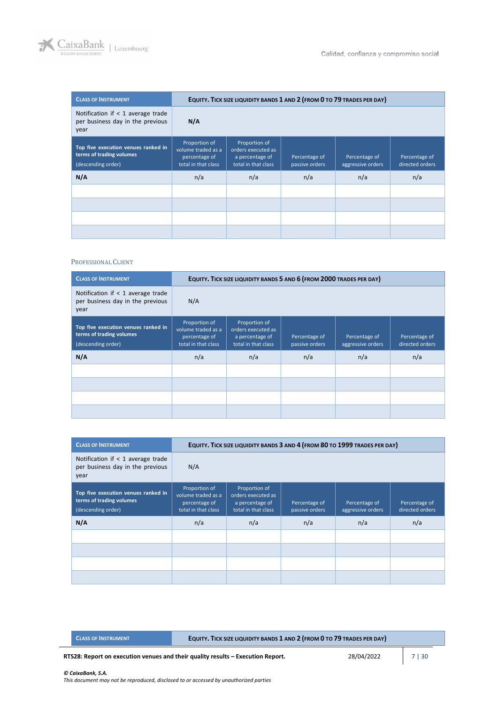

| <b>CLASS OF INSTRUMENT</b>                                                            |                                                                             | EQUITY. TICK SIZE LIQUIDITY BANDS 1 AND 2 (FROM 0 TO 79 TRADES PER DAY)       |                                 |                                    |                                  |  |
|---------------------------------------------------------------------------------------|-----------------------------------------------------------------------------|-------------------------------------------------------------------------------|---------------------------------|------------------------------------|----------------------------------|--|
| Notification if $<$ 1 average trade<br>per business day in the previous<br>year       | N/A                                                                         |                                                                               |                                 |                                    |                                  |  |
| Top five execution venues ranked in<br>terms of trading volumes<br>(descending order) | Proportion of<br>volume traded as a<br>percentage of<br>total in that class | Proportion of<br>orders executed as<br>a percentage of<br>total in that class | Percentage of<br>passive orders | Percentage of<br>aggressive orders | Percentage of<br>directed orders |  |
| N/A                                                                                   | n/a                                                                         | n/a                                                                           | n/a                             | n/a                                | n/a                              |  |
|                                                                                       |                                                                             |                                                                               |                                 |                                    |                                  |  |
|                                                                                       |                                                                             |                                                                               |                                 |                                    |                                  |  |
|                                                                                       |                                                                             |                                                                               |                                 |                                    |                                  |  |
|                                                                                       |                                                                             |                                                                               |                                 |                                    |                                  |  |

### PROFESSIONAL CLIENT

| <b>CLASS OF INSTRUMENT</b>                                                            |                                                                             | EQUITY. TICK SIZE LIQUIDITY BANDS 5 AND 6 (FROM 2000 TRADES PER DAY)          |                                 |                                    |                                  |
|---------------------------------------------------------------------------------------|-----------------------------------------------------------------------------|-------------------------------------------------------------------------------|---------------------------------|------------------------------------|----------------------------------|
| Notification if $<$ 1 average trade<br>per business day in the previous<br>year       | N/A                                                                         |                                                                               |                                 |                                    |                                  |
| Top five execution venues ranked in<br>terms of trading volumes<br>(descending order) | Proportion of<br>volume traded as a<br>percentage of<br>total in that class | Proportion of<br>orders executed as<br>a percentage of<br>total in that class | Percentage of<br>passive orders | Percentage of<br>aggressive orders | Percentage of<br>directed orders |
| N/A                                                                                   | n/a                                                                         | n/a                                                                           | n/a                             | n/a                                | n/a                              |
|                                                                                       |                                                                             |                                                                               |                                 |                                    |                                  |
|                                                                                       |                                                                             |                                                                               |                                 |                                    |                                  |
|                                                                                       |                                                                             |                                                                               |                                 |                                    |                                  |
|                                                                                       |                                                                             |                                                                               |                                 |                                    |                                  |

| <b>CLASS OF INSTRUMENT</b>                                                            |                                                                             | EQUITY. TICK SIZE LIQUIDITY BANDS 3 AND 4 (FROM 80 TO 1999 TRADES PER DAY)    |                                 |                                    |                                  |
|---------------------------------------------------------------------------------------|-----------------------------------------------------------------------------|-------------------------------------------------------------------------------|---------------------------------|------------------------------------|----------------------------------|
| Notification if $<$ 1 average trade<br>per business day in the previous<br>year       | N/A                                                                         |                                                                               |                                 |                                    |                                  |
| Top five execution venues ranked in<br>terms of trading volumes<br>(descending order) | Proportion of<br>volume traded as a<br>percentage of<br>total in that class | Proportion of<br>orders executed as<br>a percentage of<br>total in that class | Percentage of<br>passive orders | Percentage of<br>aggressive orders | Percentage of<br>directed orders |
| N/A                                                                                   | n/a                                                                         | n/a                                                                           | n/a                             | n/a                                | n/a                              |
|                                                                                       |                                                                             |                                                                               |                                 |                                    |                                  |
|                                                                                       |                                                                             |                                                                               |                                 |                                    |                                  |
|                                                                                       |                                                                             |                                                                               |                                 |                                    |                                  |
|                                                                                       |                                                                             |                                                                               |                                 |                                    |                                  |

|  | <b>CLASS OF INSTRUMENT</b> |
|--|----------------------------|
|  |                            |
|  |                            |

**CLASS OF INSTRUMENT EQUITY. TICK SIZE LIQUIDITY BANDS 1 AND 2 (FROM 0 TO 79 TRADES PER DAY)**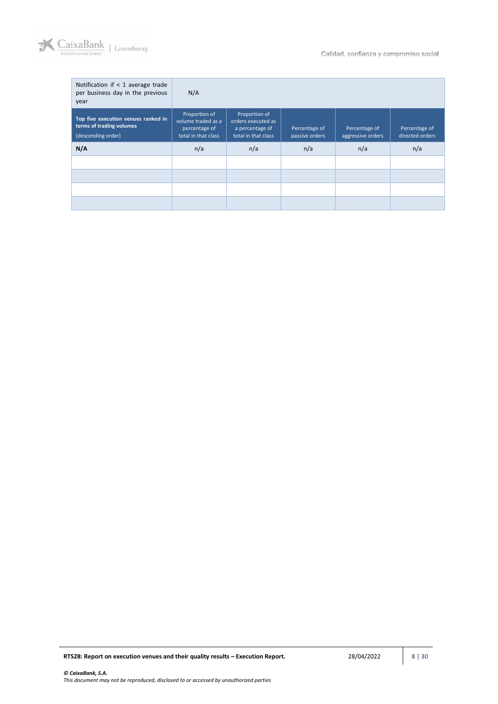

| Notification if $<$ 1 average trade<br>per business day in the previous<br>year       | N/A                                                                         |                                                                               |                                 |                                    |                                  |
|---------------------------------------------------------------------------------------|-----------------------------------------------------------------------------|-------------------------------------------------------------------------------|---------------------------------|------------------------------------|----------------------------------|
| Top five execution venues ranked in<br>terms of trading volumes<br>(descending order) | Proportion of<br>volume traded as a<br>percentage of<br>total in that class | Proportion of<br>orders executed as<br>a percentage of<br>total in that class | Percentage of<br>passive orders | Percentage of<br>aggressive orders | Percentage of<br>directed orders |
| N/A                                                                                   | n/a                                                                         | n/a                                                                           | n/a                             | n/a                                | n/a                              |
|                                                                                       |                                                                             |                                                                               |                                 |                                    |                                  |
|                                                                                       |                                                                             |                                                                               |                                 |                                    |                                  |
|                                                                                       |                                                                             |                                                                               |                                 |                                    |                                  |
|                                                                                       |                                                                             |                                                                               |                                 |                                    |                                  |

**RTS28: Report on execution venues and their quality results – Execution Report. 28/04/2022 8 | 30**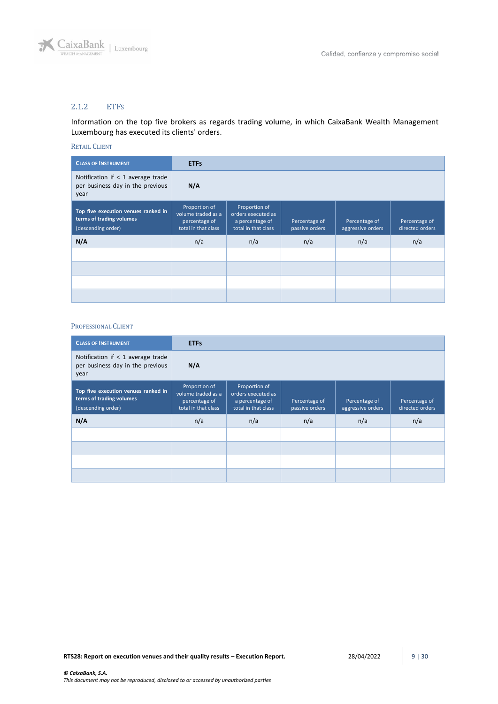

## <span id="page-8-0"></span>2.1.2 ETFS

Information on the top five brokers as regards trading volume, in which CaixaBank Wealth Management Luxembourg has executed its clients' orders.

### RETAIL CLIENT

| <b>CLASS OF INSTRUMENT</b>                                                            | <b>ETFS</b>                                                                 |                                                                               |                                 |                                    |                                  |
|---------------------------------------------------------------------------------------|-----------------------------------------------------------------------------|-------------------------------------------------------------------------------|---------------------------------|------------------------------------|----------------------------------|
| Notification if < 1 average trade<br>per business day in the previous<br>year         | N/A                                                                         |                                                                               |                                 |                                    |                                  |
| Top five execution venues ranked in<br>terms of trading volumes<br>(descending order) | Proportion of<br>volume traded as a<br>percentage of<br>total in that class | Proportion of<br>orders executed as<br>a percentage of<br>total in that class | Percentage of<br>passive orders | Percentage of<br>aggressive orders | Percentage of<br>directed orders |
| N/A                                                                                   | n/a                                                                         | n/a                                                                           | n/a                             | n/a                                | n/a                              |
|                                                                                       |                                                                             |                                                                               |                                 |                                    |                                  |
|                                                                                       |                                                                             |                                                                               |                                 |                                    |                                  |
|                                                                                       |                                                                             |                                                                               |                                 |                                    |                                  |
|                                                                                       |                                                                             |                                                                               |                                 |                                    |                                  |

| <b>CLASS OF INSTRUMENT</b>                                                            | <b>ETFS</b>                                                                 |                                                                               |                                 |                                    |                                  |
|---------------------------------------------------------------------------------------|-----------------------------------------------------------------------------|-------------------------------------------------------------------------------|---------------------------------|------------------------------------|----------------------------------|
| Notification if $<$ 1 average trade<br>per business day in the previous<br>year       | N/A                                                                         |                                                                               |                                 |                                    |                                  |
| Top five execution venues ranked in<br>terms of trading volumes<br>(descending order) | Proportion of<br>volume traded as a<br>percentage of<br>total in that class | Proportion of<br>orders executed as<br>a percentage of<br>total in that class | Percentage of<br>passive orders | Percentage of<br>aggressive orders | Percentage of<br>directed orders |
| N/A                                                                                   | n/a                                                                         | n/a                                                                           | n/a                             | n/a                                | n/a                              |
|                                                                                       |                                                                             |                                                                               |                                 |                                    |                                  |
|                                                                                       |                                                                             |                                                                               |                                 |                                    |                                  |
|                                                                                       |                                                                             |                                                                               |                                 |                                    |                                  |
|                                                                                       |                                                                             |                                                                               |                                 |                                    |                                  |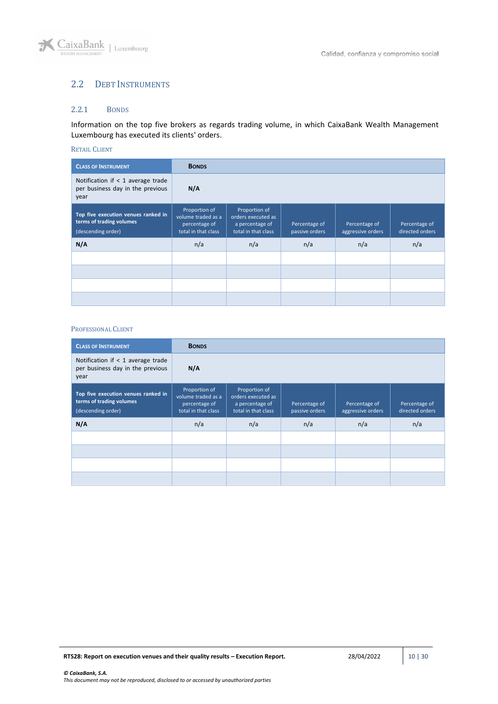

## <span id="page-9-0"></span>2.2 DEBT INSTRUMENTS

### <span id="page-9-1"></span>2.2.1 BONDS

Information on the top five brokers as regards trading volume, in which CaixaBank Wealth Management Luxembourg has executed its clients' orders.

#### RETAIL CLIENT

| <b>CLASS OF INSTRUMENT</b>                                                            | <b>BONDS</b>                                                                |                                                                               |                                 |                                    |                                  |
|---------------------------------------------------------------------------------------|-----------------------------------------------------------------------------|-------------------------------------------------------------------------------|---------------------------------|------------------------------------|----------------------------------|
| Notification if $<$ 1 average trade<br>per business day in the previous<br>year       | N/A                                                                         |                                                                               |                                 |                                    |                                  |
| Top five execution venues ranked in<br>terms of trading volumes<br>(descending order) | Proportion of<br>volume traded as a<br>percentage of<br>total in that class | Proportion of<br>orders executed as<br>a percentage of<br>total in that class | Percentage of<br>passive orders | Percentage of<br>aggressive orders | Percentage of<br>directed orders |
| N/A                                                                                   | n/a                                                                         | n/a                                                                           | n/a                             | n/a                                | n/a                              |
|                                                                                       |                                                                             |                                                                               |                                 |                                    |                                  |
|                                                                                       |                                                                             |                                                                               |                                 |                                    |                                  |
|                                                                                       |                                                                             |                                                                               |                                 |                                    |                                  |
|                                                                                       |                                                                             |                                                                               |                                 |                                    |                                  |

| <b>CLASS OF INSTRUMENT</b>                                                            | <b>BONDS</b>                                                                |                                                                               |                                 |                                    |                                  |
|---------------------------------------------------------------------------------------|-----------------------------------------------------------------------------|-------------------------------------------------------------------------------|---------------------------------|------------------------------------|----------------------------------|
| Notification if $<$ 1 average trade<br>per business day in the previous<br>year       | N/A                                                                         |                                                                               |                                 |                                    |                                  |
| Top five execution venues ranked in<br>terms of trading volumes<br>(descending order) | Proportion of<br>volume traded as a<br>percentage of<br>total in that class | Proportion of<br>orders executed as<br>a percentage of<br>total in that class | Percentage of<br>passive orders | Percentage of<br>aggressive orders | Percentage of<br>directed orders |
| N/A                                                                                   | n/a                                                                         | n/a                                                                           | n/a                             | n/a                                | n/a                              |
|                                                                                       |                                                                             |                                                                               |                                 |                                    |                                  |
|                                                                                       |                                                                             |                                                                               |                                 |                                    |                                  |
|                                                                                       |                                                                             |                                                                               |                                 |                                    |                                  |
|                                                                                       |                                                                             |                                                                               |                                 |                                    |                                  |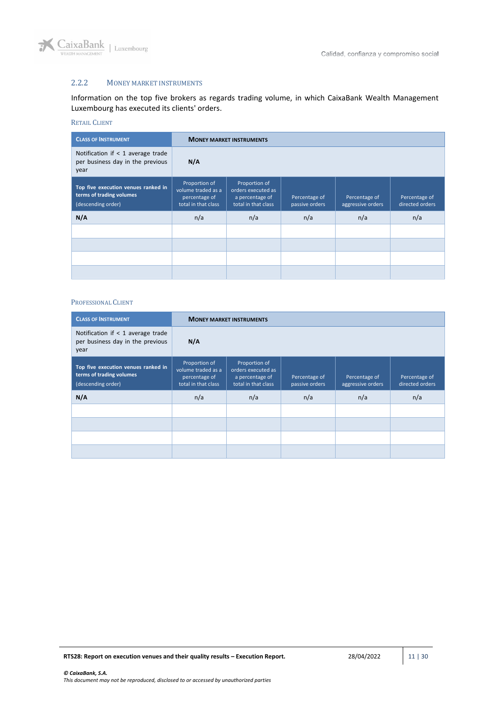

## <span id="page-10-0"></span>2.2.2 MONEY MARKET INSTRUMENTS

Information on the top five brokers as regards trading volume, in which CaixaBank Wealth Management Luxembourg has executed its clients' orders.

## RETAIL CLIENT

| <b>CLASS OF INSTRUMENT</b>                                                            |                                                                             | <b>MONEY MARKET INSTRUMENTS</b>                                               |                                 |                                    |                                  |  |  |
|---------------------------------------------------------------------------------------|-----------------------------------------------------------------------------|-------------------------------------------------------------------------------|---------------------------------|------------------------------------|----------------------------------|--|--|
| Notification if $<$ 1 average trade<br>per business day in the previous<br>year       | N/A                                                                         |                                                                               |                                 |                                    |                                  |  |  |
| Top five execution venues ranked in<br>terms of trading volumes<br>(descending order) | Proportion of<br>volume traded as a<br>percentage of<br>total in that class | Proportion of<br>orders executed as<br>a percentage of<br>total in that class | Percentage of<br>passive orders | Percentage of<br>aggressive orders | Percentage of<br>directed orders |  |  |
| N/A                                                                                   | n/a                                                                         | n/a                                                                           | n/a                             | n/a                                | n/a                              |  |  |
|                                                                                       |                                                                             |                                                                               |                                 |                                    |                                  |  |  |
|                                                                                       |                                                                             |                                                                               |                                 |                                    |                                  |  |  |
|                                                                                       |                                                                             |                                                                               |                                 |                                    |                                  |  |  |
|                                                                                       |                                                                             |                                                                               |                                 |                                    |                                  |  |  |

| <b>CLASS OF INSTRUMENT</b>                                                            |                                                                             | <b>MONEY MARKET INSTRUMENTS</b>                                               |                                 |                                    |                                  |  |  |
|---------------------------------------------------------------------------------------|-----------------------------------------------------------------------------|-------------------------------------------------------------------------------|---------------------------------|------------------------------------|----------------------------------|--|--|
| Notification if $<$ 1 average trade<br>per business day in the previous<br>year       | N/A                                                                         |                                                                               |                                 |                                    |                                  |  |  |
| Top five execution venues ranked in<br>terms of trading volumes<br>(descending order) | Proportion of<br>volume traded as a<br>percentage of<br>total in that class | Proportion of<br>orders executed as<br>a percentage of<br>total in that class | Percentage of<br>passive orders | Percentage of<br>aggressive orders | Percentage of<br>directed orders |  |  |
| N/A                                                                                   | n/a                                                                         | n/a                                                                           | n/a                             | n/a                                | n/a                              |  |  |
|                                                                                       |                                                                             |                                                                               |                                 |                                    |                                  |  |  |
|                                                                                       |                                                                             |                                                                               |                                 |                                    |                                  |  |  |
|                                                                                       |                                                                             |                                                                               |                                 |                                    |                                  |  |  |
|                                                                                       |                                                                             |                                                                               |                                 |                                    |                                  |  |  |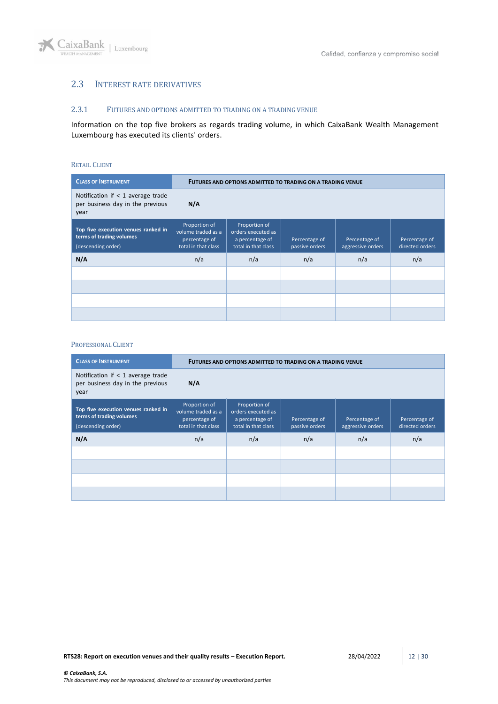

## <span id="page-11-0"></span>2.3 INTEREST RATE DERIVATIVES

### <span id="page-11-1"></span>2.3.1 FUTURES AND OPTIONS ADMITTED TO TRADING ON A TRADING VENUE

Information on the top five brokers as regards trading volume, in which CaixaBank Wealth Management Luxembourg has executed its clients' orders.

#### RETAIL CLIENT

| <b>CLASS OF INSTRUMENT</b>                                                            |                                                                             | FUTURES AND OPTIONS ADMITTED TO TRADING ON A TRADING VENUE                    |                                 |                                    |                                  |  |  |  |
|---------------------------------------------------------------------------------------|-----------------------------------------------------------------------------|-------------------------------------------------------------------------------|---------------------------------|------------------------------------|----------------------------------|--|--|--|
| Notification if $<$ 1 average trade<br>per business day in the previous<br>year       | N/A                                                                         |                                                                               |                                 |                                    |                                  |  |  |  |
| Top five execution venues ranked in<br>terms of trading volumes<br>(descending order) | Proportion of<br>volume traded as a<br>percentage of<br>total in that class | Proportion of<br>orders executed as<br>a percentage of<br>total in that class | Percentage of<br>passive orders | Percentage of<br>aggressive orders | Percentage of<br>directed orders |  |  |  |
| N/A                                                                                   | n/a                                                                         | n/a                                                                           | n/a                             | n/a                                | n/a                              |  |  |  |
|                                                                                       |                                                                             |                                                                               |                                 |                                    |                                  |  |  |  |
|                                                                                       |                                                                             |                                                                               |                                 |                                    |                                  |  |  |  |
|                                                                                       |                                                                             |                                                                               |                                 |                                    |                                  |  |  |  |
|                                                                                       |                                                                             |                                                                               |                                 |                                    |                                  |  |  |  |

| <b>CLASS OF INSTRUMENT</b>                                                            | <b>FUTURES AND OPTIONS ADMITTED TO TRADING ON A TRADING VENUE</b>           |                                                                               |                                 |                                    |                                  |  |
|---------------------------------------------------------------------------------------|-----------------------------------------------------------------------------|-------------------------------------------------------------------------------|---------------------------------|------------------------------------|----------------------------------|--|
| Notification if $<$ 1 average trade<br>per business day in the previous<br>year       | N/A                                                                         |                                                                               |                                 |                                    |                                  |  |
| Top five execution venues ranked in<br>terms of trading volumes<br>(descending order) | Proportion of<br>volume traded as a<br>percentage of<br>total in that class | Proportion of<br>orders executed as<br>a percentage of<br>total in that class | Percentage of<br>passive orders | Percentage of<br>aggressive orders | Percentage of<br>directed orders |  |
| N/A                                                                                   | n/a                                                                         | n/a                                                                           | n/a                             | n/a                                | n/a                              |  |
|                                                                                       |                                                                             |                                                                               |                                 |                                    |                                  |  |
|                                                                                       |                                                                             |                                                                               |                                 |                                    |                                  |  |
|                                                                                       |                                                                             |                                                                               |                                 |                                    |                                  |  |
|                                                                                       |                                                                             |                                                                               |                                 |                                    |                                  |  |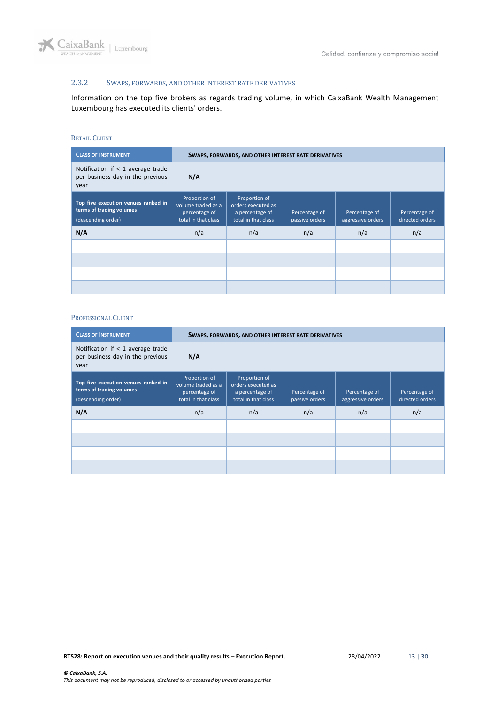

## <span id="page-12-0"></span>2.3.2 SWAPS, FORWARDS, AND OTHER INTEREST RATE DERIVATIVES

Information on the top five brokers as regards trading volume, in which CaixaBank Wealth Management Luxembourg has executed its clients' orders.

#### RETAIL CLIENT

| <b>CLASS OF INSTRUMENT</b>                                                            |                                                                             | SWAPS, FORWARDS, AND OTHER INTEREST RATE DERIVATIVES                          |                                 |                                    |                                  |  |  |
|---------------------------------------------------------------------------------------|-----------------------------------------------------------------------------|-------------------------------------------------------------------------------|---------------------------------|------------------------------------|----------------------------------|--|--|
| Notification if $<$ 1 average trade<br>per business day in the previous<br>year       | N/A                                                                         |                                                                               |                                 |                                    |                                  |  |  |
| Top five execution venues ranked in<br>terms of trading volumes<br>(descending order) | Proportion of<br>volume traded as a<br>percentage of<br>total in that class | Proportion of<br>orders executed as<br>a percentage of<br>total in that class | Percentage of<br>passive orders | Percentage of<br>aggressive orders | Percentage of<br>directed orders |  |  |
| N/A                                                                                   | n/a                                                                         | n/a                                                                           | n/a                             | n/a                                | n/a                              |  |  |
|                                                                                       |                                                                             |                                                                               |                                 |                                    |                                  |  |  |
|                                                                                       |                                                                             |                                                                               |                                 |                                    |                                  |  |  |
|                                                                                       |                                                                             |                                                                               |                                 |                                    |                                  |  |  |
|                                                                                       |                                                                             |                                                                               |                                 |                                    |                                  |  |  |

| <b>CLASS OF INSTRUMENT</b>                                                            |                                                                             | SWAPS, FORWARDS, AND OTHER INTEREST RATE DERIVATIVES                          |                                 |                                    |                                  |  |  |
|---------------------------------------------------------------------------------------|-----------------------------------------------------------------------------|-------------------------------------------------------------------------------|---------------------------------|------------------------------------|----------------------------------|--|--|
| Notification if $<$ 1 average trade<br>per business day in the previous<br>year       | N/A                                                                         |                                                                               |                                 |                                    |                                  |  |  |
| Top five execution venues ranked in<br>terms of trading volumes<br>(descending order) | Proportion of<br>volume traded as a<br>percentage of<br>total in that class | Proportion of<br>orders executed as<br>a percentage of<br>total in that class | Percentage of<br>passive orders | Percentage of<br>aggressive orders | Percentage of<br>directed orders |  |  |
| N/A                                                                                   | n/a                                                                         | n/a                                                                           | n/a                             | n/a                                | n/a                              |  |  |
|                                                                                       |                                                                             |                                                                               |                                 |                                    |                                  |  |  |
|                                                                                       |                                                                             |                                                                               |                                 |                                    |                                  |  |  |
|                                                                                       |                                                                             |                                                                               |                                 |                                    |                                  |  |  |
|                                                                                       |                                                                             |                                                                               |                                 |                                    |                                  |  |  |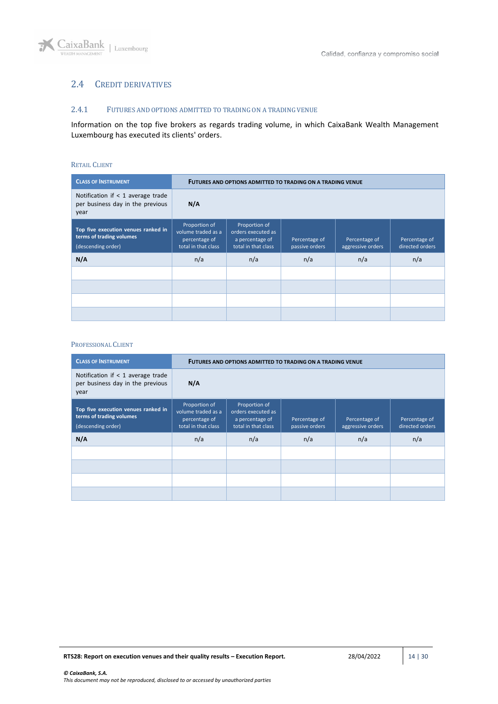## <span id="page-13-0"></span>2.4 CREDIT DERIVATIVES

### <span id="page-13-1"></span>2.4.1 FUTURES AND OPTIONS ADMITTED TO TRADING ON A TRADING VENUE

Information on the top five brokers as regards trading volume, in which CaixaBank Wealth Management Luxembourg has executed its clients' orders.

#### RETAIL CLIENT

| <b>CLASS OF INSTRUMENT</b>                                                            |                                                                             | FUTURES AND OPTIONS ADMITTED TO TRADING ON A TRADING VENUE                    |                                 |                                    |                                  |  |  |  |
|---------------------------------------------------------------------------------------|-----------------------------------------------------------------------------|-------------------------------------------------------------------------------|---------------------------------|------------------------------------|----------------------------------|--|--|--|
| Notification if $<$ 1 average trade<br>per business day in the previous<br>year       | N/A                                                                         |                                                                               |                                 |                                    |                                  |  |  |  |
| Top five execution venues ranked in<br>terms of trading volumes<br>(descending order) | Proportion of<br>volume traded as a<br>percentage of<br>total in that class | Proportion of<br>orders executed as<br>a percentage of<br>total in that class | Percentage of<br>passive orders | Percentage of<br>aggressive orders | Percentage of<br>directed orders |  |  |  |
| N/A                                                                                   | n/a                                                                         | n/a                                                                           | n/a                             | n/a                                | n/a                              |  |  |  |
|                                                                                       |                                                                             |                                                                               |                                 |                                    |                                  |  |  |  |
|                                                                                       |                                                                             |                                                                               |                                 |                                    |                                  |  |  |  |
|                                                                                       |                                                                             |                                                                               |                                 |                                    |                                  |  |  |  |
|                                                                                       |                                                                             |                                                                               |                                 |                                    |                                  |  |  |  |

| <b>CLASS OF INSTRUMENT</b>                                                            | <b>FUTURES AND OPTIONS ADMITTED TO TRADING ON A TRADING VENUE</b>           |                                                                               |                                 |                                    |                                  |  |
|---------------------------------------------------------------------------------------|-----------------------------------------------------------------------------|-------------------------------------------------------------------------------|---------------------------------|------------------------------------|----------------------------------|--|
| Notification if $<$ 1 average trade<br>per business day in the previous<br>year       | N/A                                                                         |                                                                               |                                 |                                    |                                  |  |
| Top five execution venues ranked in<br>terms of trading volumes<br>(descending order) | Proportion of<br>volume traded as a<br>percentage of<br>total in that class | Proportion of<br>orders executed as<br>a percentage of<br>total in that class | Percentage of<br>passive orders | Percentage of<br>aggressive orders | Percentage of<br>directed orders |  |
| N/A                                                                                   | n/a                                                                         | n/a                                                                           | n/a                             | n/a                                | n/a                              |  |
|                                                                                       |                                                                             |                                                                               |                                 |                                    |                                  |  |
|                                                                                       |                                                                             |                                                                               |                                 |                                    |                                  |  |
|                                                                                       |                                                                             |                                                                               |                                 |                                    |                                  |  |
|                                                                                       |                                                                             |                                                                               |                                 |                                    |                                  |  |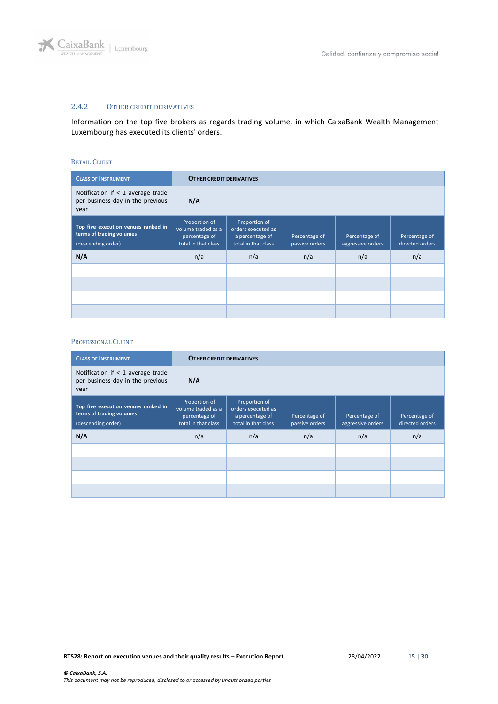

## <span id="page-14-0"></span>2.4.2 OTHER CREDIT DERIVATIVES

Information on the top five brokers as regards trading volume, in which CaixaBank Wealth Management Luxembourg has executed its clients' orders.

#### RETAIL CLIENT

| <b>CLASS OF INSTRUMENT</b>                                                            |                                                                             | <b>OTHER CREDIT DERIVATIVES</b>                                               |                                 |                                    |                                  |  |  |  |
|---------------------------------------------------------------------------------------|-----------------------------------------------------------------------------|-------------------------------------------------------------------------------|---------------------------------|------------------------------------|----------------------------------|--|--|--|
| Notification if $<$ 1 average trade<br>per business day in the previous<br>year       | N/A                                                                         |                                                                               |                                 |                                    |                                  |  |  |  |
| Top five execution venues ranked in<br>terms of trading volumes<br>(descending order) | Proportion of<br>volume traded as a<br>percentage of<br>total in that class | Proportion of<br>orders executed as<br>a percentage of<br>total in that class | Percentage of<br>passive orders | Percentage of<br>aggressive orders | Percentage of<br>directed orders |  |  |  |
| N/A                                                                                   | n/a                                                                         | n/a                                                                           | n/a                             | n/a                                | n/a                              |  |  |  |
|                                                                                       |                                                                             |                                                                               |                                 |                                    |                                  |  |  |  |
|                                                                                       |                                                                             |                                                                               |                                 |                                    |                                  |  |  |  |
|                                                                                       |                                                                             |                                                                               |                                 |                                    |                                  |  |  |  |
|                                                                                       |                                                                             |                                                                               |                                 |                                    |                                  |  |  |  |

| <b>CLASS OF INSTRUMENT</b>                                                            |                                                                             | <b>OTHER CREDIT DERIVATIVES</b>                                               |                                 |                                    |                                  |  |  |
|---------------------------------------------------------------------------------------|-----------------------------------------------------------------------------|-------------------------------------------------------------------------------|---------------------------------|------------------------------------|----------------------------------|--|--|
| Notification if $<$ 1 average trade<br>per business day in the previous<br>year       | N/A                                                                         |                                                                               |                                 |                                    |                                  |  |  |
| Top five execution venues ranked in<br>terms of trading volumes<br>(descending order) | Proportion of<br>volume traded as a<br>percentage of<br>total in that class | Proportion of<br>orders executed as<br>a percentage of<br>total in that class | Percentage of<br>passive orders | Percentage of<br>aggressive orders | Percentage of<br>directed orders |  |  |
| N/A                                                                                   | n/a                                                                         | n/a                                                                           | n/a                             | n/a                                | n/a                              |  |  |
|                                                                                       |                                                                             |                                                                               |                                 |                                    |                                  |  |  |
|                                                                                       |                                                                             |                                                                               |                                 |                                    |                                  |  |  |
|                                                                                       |                                                                             |                                                                               |                                 |                                    |                                  |  |  |
|                                                                                       |                                                                             |                                                                               |                                 |                                    |                                  |  |  |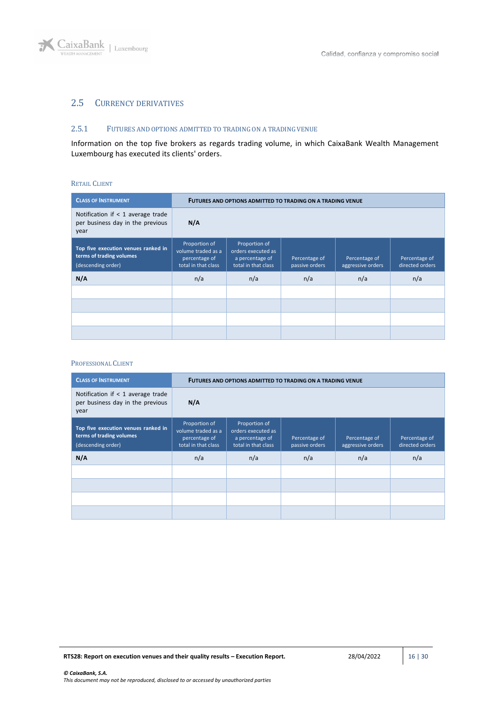

## <span id="page-15-0"></span>2.5 CURRENCY DERIVATIVES

#### <span id="page-15-1"></span>2.5.1 FUTURES AND OPTIONS ADMITTED TO TRADING ON A TRADING VENUE

Information on the top five brokers as regards trading volume, in which CaixaBank Wealth Management Luxembourg has executed its clients' orders.

#### RETAIL CLIENT

| <b>CLASS OF INSTRUMENT</b>                                                            |                                                                             | FUTURES AND OPTIONS ADMITTED TO TRADING ON A TRADING VENUE                    |                                 |                                    |                                  |  |  |
|---------------------------------------------------------------------------------------|-----------------------------------------------------------------------------|-------------------------------------------------------------------------------|---------------------------------|------------------------------------|----------------------------------|--|--|
| Notification if $<$ 1 average trade<br>per business day in the previous<br>year       | N/A                                                                         |                                                                               |                                 |                                    |                                  |  |  |
| Top five execution venues ranked in<br>terms of trading volumes<br>(descending order) | Proportion of<br>volume traded as a<br>percentage of<br>total in that class | Proportion of<br>orders executed as<br>a percentage of<br>total in that class | Percentage of<br>passive orders | Percentage of<br>aggressive orders | Percentage of<br>directed orders |  |  |
| N/A                                                                                   | n/a                                                                         | n/a                                                                           | n/a                             | n/a                                | n/a                              |  |  |
|                                                                                       |                                                                             |                                                                               |                                 |                                    |                                  |  |  |
|                                                                                       |                                                                             |                                                                               |                                 |                                    |                                  |  |  |
|                                                                                       |                                                                             |                                                                               |                                 |                                    |                                  |  |  |
|                                                                                       |                                                                             |                                                                               |                                 |                                    |                                  |  |  |

| <b>CLASS OF INSTRUMENT</b>                                                            |                                                                             | <b>FUTURES AND OPTIONS ADMITTED TO TRADING ON A TRADING VENUE</b>             |                                 |                                    |                                  |  |  |
|---------------------------------------------------------------------------------------|-----------------------------------------------------------------------------|-------------------------------------------------------------------------------|---------------------------------|------------------------------------|----------------------------------|--|--|
| Notification if $<$ 1 average trade<br>per business day in the previous<br>year       | N/A                                                                         |                                                                               |                                 |                                    |                                  |  |  |
| Top five execution venues ranked in<br>terms of trading volumes<br>(descending order) | Proportion of<br>volume traded as a<br>percentage of<br>total in that class | Proportion of<br>orders executed as<br>a percentage of<br>total in that class | Percentage of<br>passive orders | Percentage of<br>aggressive orders | Percentage of<br>directed orders |  |  |
| N/A                                                                                   | n/a                                                                         | n/a                                                                           | n/a                             | n/a                                | n/a                              |  |  |
|                                                                                       |                                                                             |                                                                               |                                 |                                    |                                  |  |  |
|                                                                                       |                                                                             |                                                                               |                                 |                                    |                                  |  |  |
|                                                                                       |                                                                             |                                                                               |                                 |                                    |                                  |  |  |
|                                                                                       |                                                                             |                                                                               |                                 |                                    |                                  |  |  |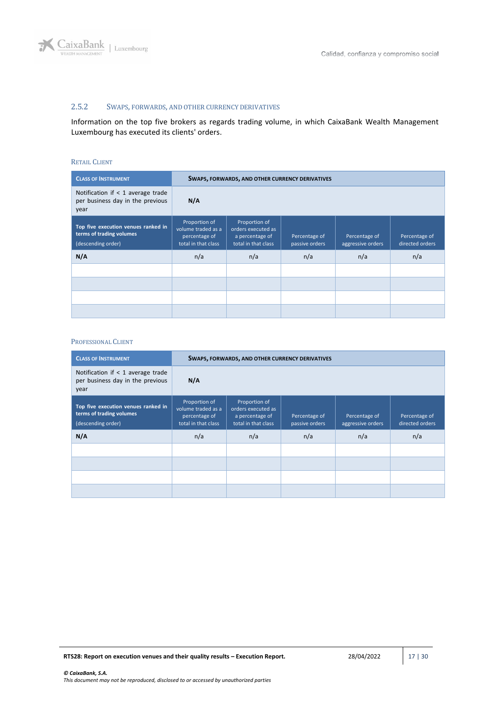

## <span id="page-16-0"></span>2.5.2 SWAPS, FORWARDS, AND OTHER CURRENCY DERIVATIVES

Information on the top five brokers as regards trading volume, in which CaixaBank Wealth Management Luxembourg has executed its clients' orders.

#### RETAIL CLIENT

| <b>CLASS OF INSTRUMENT</b>                                                            |                                                                             | <b>SWAPS, FORWARDS, AND OTHER CURRENCY DERIVATIVES</b>                        |                                 |                                    |                                  |  |  |
|---------------------------------------------------------------------------------------|-----------------------------------------------------------------------------|-------------------------------------------------------------------------------|---------------------------------|------------------------------------|----------------------------------|--|--|
| Notification if $<$ 1 average trade<br>per business day in the previous<br>year       | N/A                                                                         |                                                                               |                                 |                                    |                                  |  |  |
| Top five execution venues ranked in<br>terms of trading volumes<br>(descending order) | Proportion of<br>volume traded as a<br>percentage of<br>total in that class | Proportion of<br>orders executed as<br>a percentage of<br>total in that class | Percentage of<br>passive orders | Percentage of<br>aggressive orders | Percentage of<br>directed orders |  |  |
| N/A                                                                                   | n/a                                                                         | n/a                                                                           | n/a                             | n/a                                | n/a                              |  |  |
|                                                                                       |                                                                             |                                                                               |                                 |                                    |                                  |  |  |
|                                                                                       |                                                                             |                                                                               |                                 |                                    |                                  |  |  |
|                                                                                       |                                                                             |                                                                               |                                 |                                    |                                  |  |  |
|                                                                                       |                                                                             |                                                                               |                                 |                                    |                                  |  |  |

| <b>CLASS OF INSTRUMENT</b>                                                            |                                                                             | SWAPS, FORWARDS, AND OTHER CURRENCY DERIVATIVES                               |                                 |                                    |                                  |  |  |
|---------------------------------------------------------------------------------------|-----------------------------------------------------------------------------|-------------------------------------------------------------------------------|---------------------------------|------------------------------------|----------------------------------|--|--|
| Notification if $<$ 1 average trade<br>per business day in the previous<br>year       | N/A                                                                         |                                                                               |                                 |                                    |                                  |  |  |
| Top five execution venues ranked in<br>terms of trading volumes<br>(descending order) | Proportion of<br>volume traded as a<br>percentage of<br>total in that class | Proportion of<br>orders executed as<br>a percentage of<br>total in that class | Percentage of<br>passive orders | Percentage of<br>aggressive orders | Percentage of<br>directed orders |  |  |
| N/A                                                                                   | n/a                                                                         | n/a                                                                           | n/a                             | n/a                                | n/a                              |  |  |
|                                                                                       |                                                                             |                                                                               |                                 |                                    |                                  |  |  |
|                                                                                       |                                                                             |                                                                               |                                 |                                    |                                  |  |  |
|                                                                                       |                                                                             |                                                                               |                                 |                                    |                                  |  |  |
|                                                                                       |                                                                             |                                                                               |                                 |                                    |                                  |  |  |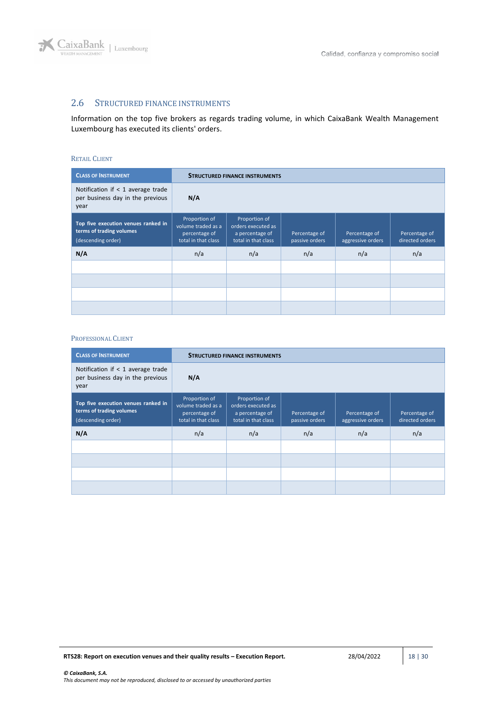

## <span id="page-17-0"></span>2.6 STRUCTURED FINANCE INSTRUMENTS

Information on the top five brokers as regards trading volume, in which CaixaBank Wealth Management Luxembourg has executed its clients' orders.

### RETAIL CLIENT

| <b>CLASS OF INSTRUMENT</b>                                                            |                                                                             | <b>STRUCTURED FINANCE INSTRUMENTS</b>                                         |                                 |                                    |                                  |  |  |
|---------------------------------------------------------------------------------------|-----------------------------------------------------------------------------|-------------------------------------------------------------------------------|---------------------------------|------------------------------------|----------------------------------|--|--|
| Notification if $<$ 1 average trade<br>per business day in the previous<br>year       | $N/\Lambda$                                                                 |                                                                               |                                 |                                    |                                  |  |  |
| Top five execution venues ranked in<br>terms of trading volumes<br>(descending order) | Proportion of<br>volume traded as a<br>percentage of<br>total in that class | Proportion of<br>orders executed as<br>a percentage of<br>total in that class | Percentage of<br>passive orders | Percentage of<br>aggressive orders | Percentage of<br>directed orders |  |  |
| N/A                                                                                   | n/a                                                                         | n/a                                                                           | n/a                             | n/a                                | n/a                              |  |  |
|                                                                                       |                                                                             |                                                                               |                                 |                                    |                                  |  |  |
|                                                                                       |                                                                             |                                                                               |                                 |                                    |                                  |  |  |
|                                                                                       |                                                                             |                                                                               |                                 |                                    |                                  |  |  |
|                                                                                       |                                                                             |                                                                               |                                 |                                    |                                  |  |  |

| <b>CLASS OF INSTRUMENT</b>                                                            |                                                                             | <b>STRUCTURED FINANCE INSTRUMENTS</b>                                         |                                 |                                    |                                  |  |  |
|---------------------------------------------------------------------------------------|-----------------------------------------------------------------------------|-------------------------------------------------------------------------------|---------------------------------|------------------------------------|----------------------------------|--|--|
| Notification if < 1 average trade<br>per business day in the previous<br>year         | N/A                                                                         |                                                                               |                                 |                                    |                                  |  |  |
| Top five execution venues ranked in<br>terms of trading volumes<br>(descending order) | Proportion of<br>volume traded as a<br>percentage of<br>total in that class | Proportion of<br>orders executed as<br>a percentage of<br>total in that class | Percentage of<br>passive orders | Percentage of<br>aggressive orders | Percentage of<br>directed orders |  |  |
| N/A                                                                                   | n/a                                                                         | n/a                                                                           | n/a                             | n/a                                | n/a                              |  |  |
|                                                                                       |                                                                             |                                                                               |                                 |                                    |                                  |  |  |
|                                                                                       |                                                                             |                                                                               |                                 |                                    |                                  |  |  |
|                                                                                       |                                                                             |                                                                               |                                 |                                    |                                  |  |  |
|                                                                                       |                                                                             |                                                                               |                                 |                                    |                                  |  |  |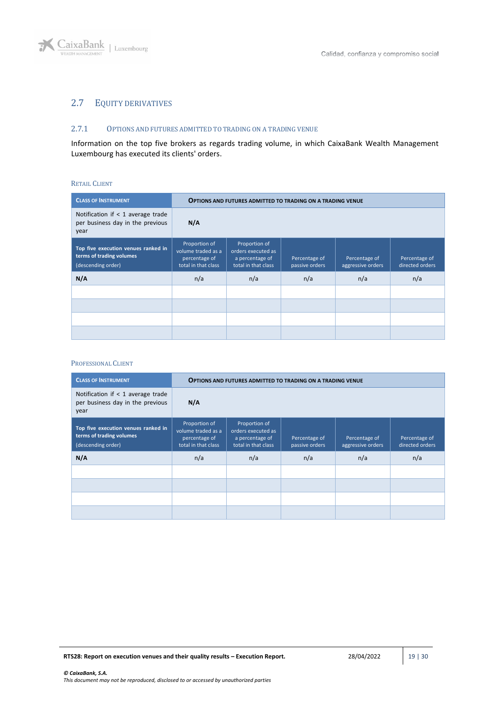

## <span id="page-18-0"></span>2.7 EQUITY DERIVATIVES

### <span id="page-18-1"></span>2.7.1 OPTIONS AND FUTURES ADMITTED TO TRADING ON A TRADING VENUE

Information on the top five brokers as regards trading volume, in which CaixaBank Wealth Management Luxembourg has executed its clients' orders.

#### RETAIL CLIENT

| <b>CLASS OF INSTRUMENT</b>                                                            |                                                                             | <b>OPTIONS AND FUTURES ADMITTED TO TRADING ON A TRADING VENUE</b>             |                                 |                                    |                                  |  |  |
|---------------------------------------------------------------------------------------|-----------------------------------------------------------------------------|-------------------------------------------------------------------------------|---------------------------------|------------------------------------|----------------------------------|--|--|
| Notification if $<$ 1 average trade<br>per business day in the previous<br>year       | N/A                                                                         |                                                                               |                                 |                                    |                                  |  |  |
| Top five execution venues ranked in<br>terms of trading volumes<br>(descending order) | Proportion of<br>volume traded as a<br>percentage of<br>total in that class | Proportion of<br>orders executed as<br>a percentage of<br>total in that class | Percentage of<br>passive orders | Percentage of<br>aggressive orders | Percentage of<br>directed orders |  |  |
| N/A                                                                                   | n/a                                                                         | n/a                                                                           | n/a                             | n/a                                | n/a                              |  |  |
|                                                                                       |                                                                             |                                                                               |                                 |                                    |                                  |  |  |
|                                                                                       |                                                                             |                                                                               |                                 |                                    |                                  |  |  |
|                                                                                       |                                                                             |                                                                               |                                 |                                    |                                  |  |  |
|                                                                                       |                                                                             |                                                                               |                                 |                                    |                                  |  |  |

| <b>CLASS OF INSTRUMENT</b>                                                            |                                                                             | <b>OPTIONS AND FUTURES ADMITTED TO TRADING ON A TRADING VENUE</b>             |                                 |                                    |                                  |  |  |
|---------------------------------------------------------------------------------------|-----------------------------------------------------------------------------|-------------------------------------------------------------------------------|---------------------------------|------------------------------------|----------------------------------|--|--|
| Notification if $<$ 1 average trade<br>per business day in the previous<br>year       | N/A                                                                         |                                                                               |                                 |                                    |                                  |  |  |
| Top five execution venues ranked in<br>terms of trading volumes<br>(descending order) | Proportion of<br>volume traded as a<br>percentage of<br>total in that class | Proportion of<br>orders executed as<br>a percentage of<br>total in that class | Percentage of<br>passive orders | Percentage of<br>aggressive orders | Percentage of<br>directed orders |  |  |
| N/A                                                                                   | n/a                                                                         | n/a                                                                           | n/a                             | n/a                                | n/a                              |  |  |
|                                                                                       |                                                                             |                                                                               |                                 |                                    |                                  |  |  |
|                                                                                       |                                                                             |                                                                               |                                 |                                    |                                  |  |  |
|                                                                                       |                                                                             |                                                                               |                                 |                                    |                                  |  |  |
|                                                                                       |                                                                             |                                                                               |                                 |                                    |                                  |  |  |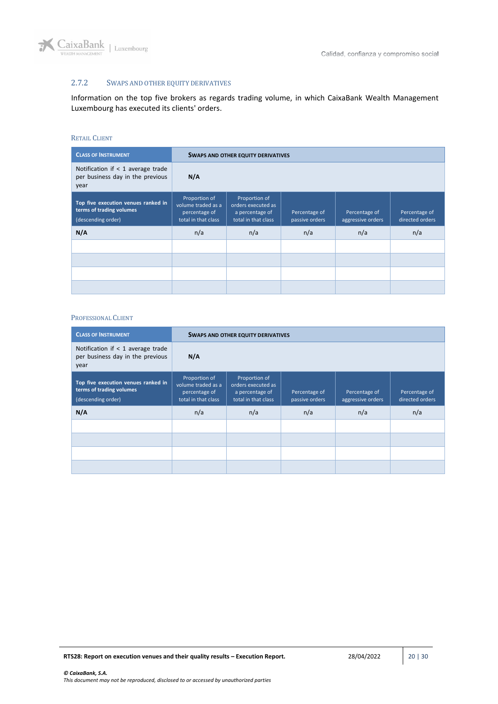

## <span id="page-19-0"></span>2.7.2 SWAPS AND OTHER EQUITY DERIVATIVES

Information on the top five brokers as regards trading volume, in which CaixaBank Wealth Management Luxembourg has executed its clients' orders.

#### RETAIL CLIENT

| <b>CLASS OF INSTRUMENT</b>                                                            |                                                                             | <b>SWAPS AND OTHER EQUITY DERIVATIVES</b>                                     |                                 |                                    |                                  |  |  |
|---------------------------------------------------------------------------------------|-----------------------------------------------------------------------------|-------------------------------------------------------------------------------|---------------------------------|------------------------------------|----------------------------------|--|--|
| Notification if $<$ 1 average trade<br>per business day in the previous<br>year       | N/A                                                                         |                                                                               |                                 |                                    |                                  |  |  |
| Top five execution venues ranked in<br>terms of trading volumes<br>(descending order) | Proportion of<br>volume traded as a<br>percentage of<br>total in that class | Proportion of<br>orders executed as<br>a percentage of<br>total in that class | Percentage of<br>passive orders | Percentage of<br>aggressive orders | Percentage of<br>directed orders |  |  |
| N/A                                                                                   | n/a                                                                         | n/a                                                                           | n/a                             | n/a                                | n/a                              |  |  |
|                                                                                       |                                                                             |                                                                               |                                 |                                    |                                  |  |  |
|                                                                                       |                                                                             |                                                                               |                                 |                                    |                                  |  |  |
|                                                                                       |                                                                             |                                                                               |                                 |                                    |                                  |  |  |
|                                                                                       |                                                                             |                                                                               |                                 |                                    |                                  |  |  |

| <b>CLASS OF INSTRUMENT</b>                                                            |                                                                             | <b>SWAPS AND OTHER EQUITY DERIVATIVES</b>                                     |                                 |                                    |                                  |  |  |
|---------------------------------------------------------------------------------------|-----------------------------------------------------------------------------|-------------------------------------------------------------------------------|---------------------------------|------------------------------------|----------------------------------|--|--|
| Notification if $<$ 1 average trade<br>per business day in the previous<br>year       | N/A                                                                         |                                                                               |                                 |                                    |                                  |  |  |
| Top five execution venues ranked in<br>terms of trading volumes<br>(descending order) | Proportion of<br>volume traded as a<br>percentage of<br>total in that class | Proportion of<br>orders executed as<br>a percentage of<br>total in that class | Percentage of<br>passive orders | Percentage of<br>aggressive orders | Percentage of<br>directed orders |  |  |
| N/A                                                                                   | n/a                                                                         | n/a                                                                           | n/a                             | n/a                                | n/a                              |  |  |
|                                                                                       |                                                                             |                                                                               |                                 |                                    |                                  |  |  |
|                                                                                       |                                                                             |                                                                               |                                 |                                    |                                  |  |  |
|                                                                                       |                                                                             |                                                                               |                                 |                                    |                                  |  |  |
|                                                                                       |                                                                             |                                                                               |                                 |                                    |                                  |  |  |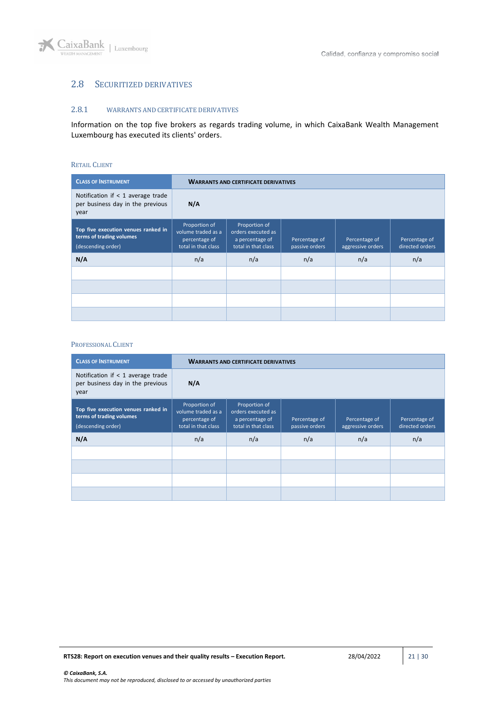

## <span id="page-20-0"></span>2.8 SECURITIZED DERIVATIVES

#### <span id="page-20-1"></span>2.8.1 WARRANTS AND CERTIFICATE DERIVATIVES

Information on the top five brokers as regards trading volume, in which CaixaBank Wealth Management Luxembourg has executed its clients' orders.

#### RETAIL CLIENT

| <b>CLASS OF INSTRUMENT</b>                                                            |                                                                             | <b>WARRANTS AND CERTIFICATE DERIVATIVES</b>                                   |                                 |                                    |                                  |  |  |
|---------------------------------------------------------------------------------------|-----------------------------------------------------------------------------|-------------------------------------------------------------------------------|---------------------------------|------------------------------------|----------------------------------|--|--|
| Notification if $<$ 1 average trade<br>per business day in the previous<br>year       | N/A                                                                         |                                                                               |                                 |                                    |                                  |  |  |
| Top five execution venues ranked in<br>terms of trading volumes<br>(descending order) | Proportion of<br>volume traded as a<br>percentage of<br>total in that class | Proportion of<br>orders executed as<br>a percentage of<br>total in that class | Percentage of<br>passive orders | Percentage of<br>aggressive orders | Percentage of<br>directed orders |  |  |
| N/A                                                                                   | n/a                                                                         | n/a                                                                           | n/a                             | n/a                                | n/a                              |  |  |
|                                                                                       |                                                                             |                                                                               |                                 |                                    |                                  |  |  |
|                                                                                       |                                                                             |                                                                               |                                 |                                    |                                  |  |  |
|                                                                                       |                                                                             |                                                                               |                                 |                                    |                                  |  |  |
|                                                                                       |                                                                             |                                                                               |                                 |                                    |                                  |  |  |

| <b>CLASS OF INSTRUMENT</b>                                                            |                                                                             | <b>WARRANTS AND CERTIFICATE DERIVATIVES</b>                                   |                                 |                                    |                                  |  |  |
|---------------------------------------------------------------------------------------|-----------------------------------------------------------------------------|-------------------------------------------------------------------------------|---------------------------------|------------------------------------|----------------------------------|--|--|
| Notification if $<$ 1 average trade<br>per business day in the previous<br>year       | N/A                                                                         |                                                                               |                                 |                                    |                                  |  |  |
| Top five execution venues ranked in<br>terms of trading volumes<br>(descending order) | Proportion of<br>volume traded as a<br>percentage of<br>total in that class | Proportion of<br>orders executed as<br>a percentage of<br>total in that class | Percentage of<br>passive orders | Percentage of<br>aggressive orders | Percentage of<br>directed orders |  |  |
| N/A                                                                                   | n/a                                                                         | n/a                                                                           | n/a                             | n/a                                | n/a                              |  |  |
|                                                                                       |                                                                             |                                                                               |                                 |                                    |                                  |  |  |
|                                                                                       |                                                                             |                                                                               |                                 |                                    |                                  |  |  |
|                                                                                       |                                                                             |                                                                               |                                 |                                    |                                  |  |  |
|                                                                                       |                                                                             |                                                                               |                                 |                                    |                                  |  |  |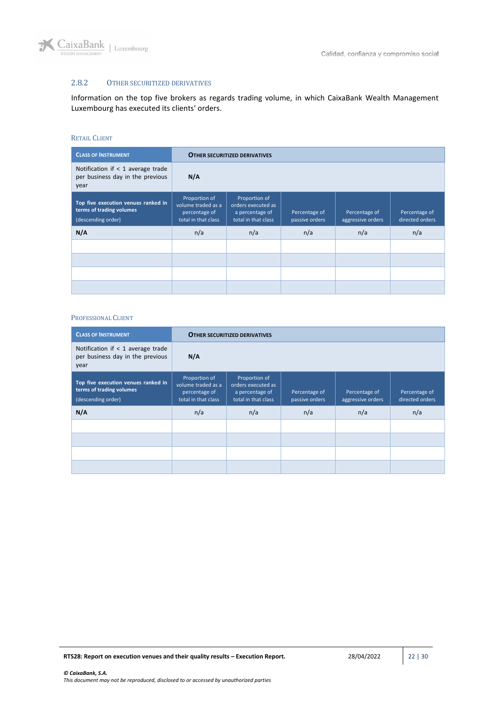

## <span id="page-21-0"></span>2.8.2 OTHER SECURITIZED DERIVATIVES

Information on the top five brokers as regards trading volume, in which CaixaBank Wealth Management Luxembourg has executed its clients' orders.

#### RETAIL CLIENT

| <b>CLASS OF INSTRUMENT</b>                                                            |                                                                             | <b>OTHER SECURITIZED DERIVATIVES</b>                                          |                                 |                                    |                                  |  |  |
|---------------------------------------------------------------------------------------|-----------------------------------------------------------------------------|-------------------------------------------------------------------------------|---------------------------------|------------------------------------|----------------------------------|--|--|
| Notification if $<$ 1 average trade<br>per business day in the previous<br>year       | N/A                                                                         |                                                                               |                                 |                                    |                                  |  |  |
| Top five execution venues ranked in<br>terms of trading volumes<br>(descending order) | Proportion of<br>volume traded as a<br>percentage of<br>total in that class | Proportion of<br>orders executed as<br>a percentage of<br>total in that class | Percentage of<br>passive orders | Percentage of<br>aggressive orders | Percentage of<br>directed orders |  |  |
| N/A                                                                                   | n/a                                                                         | n/a                                                                           | n/a                             | n/a                                | n/a                              |  |  |
|                                                                                       |                                                                             |                                                                               |                                 |                                    |                                  |  |  |
|                                                                                       |                                                                             |                                                                               |                                 |                                    |                                  |  |  |
|                                                                                       |                                                                             |                                                                               |                                 |                                    |                                  |  |  |
|                                                                                       |                                                                             |                                                                               |                                 |                                    |                                  |  |  |

| <b>CLASS OF INSTRUMENT</b>                                                            | <b>OTHER SECURITIZED DERIVATIVES</b>                                        |                                                                               |                                 |                                    |                                  |
|---------------------------------------------------------------------------------------|-----------------------------------------------------------------------------|-------------------------------------------------------------------------------|---------------------------------|------------------------------------|----------------------------------|
| Notification if $<$ 1 average trade<br>per business day in the previous<br>year       | N/A                                                                         |                                                                               |                                 |                                    |                                  |
| Top five execution venues ranked in<br>terms of trading volumes<br>(descending order) | Proportion of<br>volume traded as a<br>percentage of<br>total in that class | Proportion of<br>orders executed as<br>a percentage of<br>total in that class | Percentage of<br>passive orders | Percentage of<br>aggressive orders | Percentage of<br>directed orders |
| N/A                                                                                   | n/a                                                                         | n/a                                                                           | n/a                             | n/a                                | n/a                              |
|                                                                                       |                                                                             |                                                                               |                                 |                                    |                                  |
|                                                                                       |                                                                             |                                                                               |                                 |                                    |                                  |
|                                                                                       |                                                                             |                                                                               |                                 |                                    |                                  |
|                                                                                       |                                                                             |                                                                               |                                 |                                    |                                  |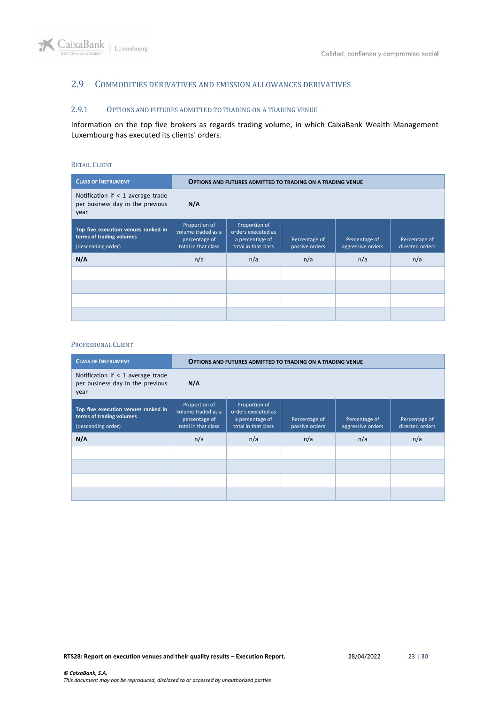

## <span id="page-22-0"></span>2.9 COMMODITIES DERIVATIVES AND EMISSION ALLOWANCES DERIVATIVES

## <span id="page-22-1"></span>2.9.1 OPTIONS AND FUTURES ADMITTED TO TRADING ON A TRADING VENUE

Information on the top five brokers as regards trading volume, in which CaixaBank Wealth Management Luxembourg has executed its clients' orders.

### RETAIL CLIENT

| <b>CLASS OF INSTRUMENT</b>                                                            |                                                                             | <b>OPTIONS AND FUTURES ADMITTED TO TRADING ON A TRADING VENUE</b>             |                                 |                                    |                                  |  |  |
|---------------------------------------------------------------------------------------|-----------------------------------------------------------------------------|-------------------------------------------------------------------------------|---------------------------------|------------------------------------|----------------------------------|--|--|
| Notification if $<$ 1 average trade<br>per business day in the previous<br>year       | N/A                                                                         |                                                                               |                                 |                                    |                                  |  |  |
| Top five execution venues ranked in<br>terms of trading volumes<br>(descending order) | Proportion of<br>volume traded as a<br>percentage of<br>total in that class | Proportion of<br>orders executed as<br>a percentage of<br>total in that class | Percentage of<br>passive orders | Percentage of<br>aggressive orders | Percentage of<br>directed orders |  |  |
| N/A                                                                                   | n/a                                                                         | n/a                                                                           | n/a                             | n/a                                | n/a                              |  |  |
|                                                                                       |                                                                             |                                                                               |                                 |                                    |                                  |  |  |
|                                                                                       |                                                                             |                                                                               |                                 |                                    |                                  |  |  |
|                                                                                       |                                                                             |                                                                               |                                 |                                    |                                  |  |  |
|                                                                                       |                                                                             |                                                                               |                                 |                                    |                                  |  |  |

| <b>CLASS OF INSTRUMENT</b>                                                            | <b>OPTIONS AND FUTURES ADMITTED TO TRADING ON A TRADING VENUE</b>           |                                                                               |                                 |                                    |                                  |
|---------------------------------------------------------------------------------------|-----------------------------------------------------------------------------|-------------------------------------------------------------------------------|---------------------------------|------------------------------------|----------------------------------|
| Notification if $<$ 1 average trade<br>per business day in the previous<br>year       | N/A                                                                         |                                                                               |                                 |                                    |                                  |
| Top five execution venues ranked in<br>terms of trading volumes<br>(descending order) | Proportion of<br>volume traded as a<br>percentage of<br>total in that class | Proportion of<br>orders executed as<br>a percentage of<br>total in that class | Percentage of<br>passive orders | Percentage of<br>aggressive orders | Percentage of<br>directed orders |
| N/A                                                                                   | n/a                                                                         | n/a                                                                           | n/a                             | n/a                                | n/a                              |
|                                                                                       |                                                                             |                                                                               |                                 |                                    |                                  |
|                                                                                       |                                                                             |                                                                               |                                 |                                    |                                  |
|                                                                                       |                                                                             |                                                                               |                                 |                                    |                                  |
|                                                                                       |                                                                             |                                                                               |                                 |                                    |                                  |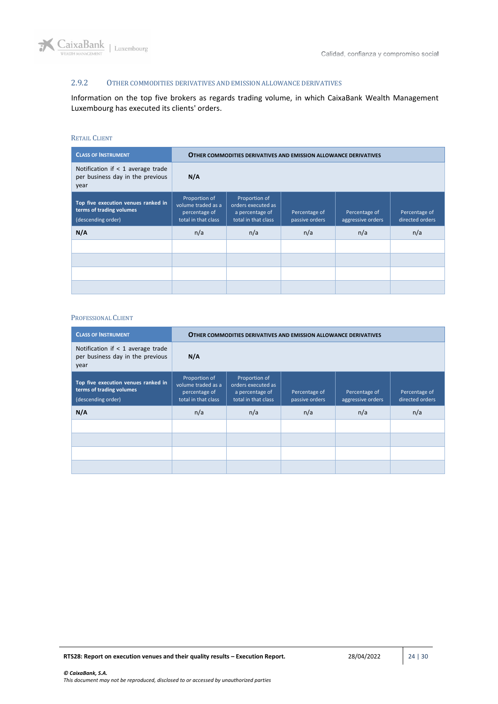

## <span id="page-23-0"></span>2.9.2 OTHER COMMODITIES DERIVATIVES AND EMISSION ALLOWANCE DERIVATIVES

Information on the top five brokers as regards trading volume, in which CaixaBank Wealth Management Luxembourg has executed its clients' orders.

#### RETAIL CLIENT

| <b>CLASS OF INSTRUMENT</b>                                                            | <b>OTHER COMMODITIES DERIVATIVES AND EMISSION ALLOWANCE DERIVATIVES</b>     |                                                                               |                                 |                                    |                                  |  |
|---------------------------------------------------------------------------------------|-----------------------------------------------------------------------------|-------------------------------------------------------------------------------|---------------------------------|------------------------------------|----------------------------------|--|
| Notification if $<$ 1 average trade<br>per business day in the previous<br>year       | N/A                                                                         |                                                                               |                                 |                                    |                                  |  |
| Top five execution venues ranked in<br>terms of trading volumes<br>(descending order) | Proportion of<br>volume traded as a<br>percentage of<br>total in that class | Proportion of<br>orders executed as<br>a percentage of<br>total in that class | Percentage of<br>passive orders | Percentage of<br>aggressive orders | Percentage of<br>directed orders |  |
| N/A                                                                                   | n/a                                                                         | n/a                                                                           | n/a                             | n/a                                | n/a                              |  |
|                                                                                       |                                                                             |                                                                               |                                 |                                    |                                  |  |
|                                                                                       |                                                                             |                                                                               |                                 |                                    |                                  |  |
|                                                                                       |                                                                             |                                                                               |                                 |                                    |                                  |  |
|                                                                                       |                                                                             |                                                                               |                                 |                                    |                                  |  |

| <b>CLASS OF INSTRUMENT</b>                                                            | <b>OTHER COMMODITIES DERIVATIVES AND EMISSION ALLOWANCE DERIVATIVES</b>     |                                                                               |                                 |                                    |                                  |  |
|---------------------------------------------------------------------------------------|-----------------------------------------------------------------------------|-------------------------------------------------------------------------------|---------------------------------|------------------------------------|----------------------------------|--|
| Notification if $<$ 1 average trade<br>per business day in the previous<br>year       | N/A                                                                         |                                                                               |                                 |                                    |                                  |  |
| Top five execution venues ranked in<br>terms of trading volumes<br>(descending order) | Proportion of<br>volume traded as a<br>percentage of<br>total in that class | Proportion of<br>orders executed as<br>a percentage of<br>total in that class | Percentage of<br>passive orders | Percentage of<br>aggressive orders | Percentage of<br>directed orders |  |
| N/A                                                                                   | n/a                                                                         | n/a                                                                           | n/a                             | n/a                                | n/a                              |  |
|                                                                                       |                                                                             |                                                                               |                                 |                                    |                                  |  |
|                                                                                       |                                                                             |                                                                               |                                 |                                    |                                  |  |
|                                                                                       |                                                                             |                                                                               |                                 |                                    |                                  |  |
|                                                                                       |                                                                             |                                                                               |                                 |                                    |                                  |  |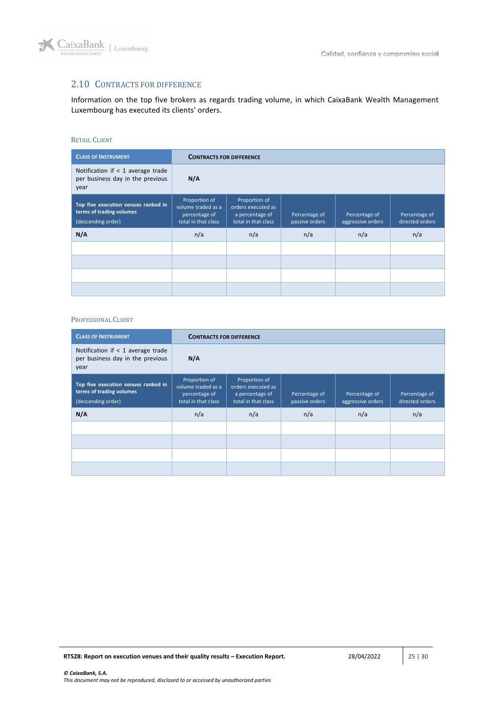

## <span id="page-24-0"></span>2.10 CONTRACTS FOR DIFFERENCE

Information on the top five brokers as regards trading volume, in which CaixaBank Wealth Management Luxembourg has executed its clients' orders.

#### RETAIL CLIENT

| <b>CLASS OF INSTRUMENT</b>                                                            | <b>CONTRACTS FOR DIFFERENCE</b>                                             |                                                                               |                                 |                                    |                                  |  |
|---------------------------------------------------------------------------------------|-----------------------------------------------------------------------------|-------------------------------------------------------------------------------|---------------------------------|------------------------------------|----------------------------------|--|
| Notification if $<$ 1 average trade<br>per business day in the previous<br>year       | N/A                                                                         |                                                                               |                                 |                                    |                                  |  |
| Top five execution venues ranked in<br>terms of trading volumes<br>(descending order) | Proportion of<br>volume traded as a<br>percentage of<br>total in that class | Proportion of<br>orders executed as<br>a percentage of<br>total in that class | Percentage of<br>passive orders | Percentage of<br>aggressive orders | Percentage of<br>directed orders |  |
| N/A                                                                                   | n/a                                                                         | n/a                                                                           | n/a                             | n/a                                | n/a                              |  |
|                                                                                       |                                                                             |                                                                               |                                 |                                    |                                  |  |
|                                                                                       |                                                                             |                                                                               |                                 |                                    |                                  |  |
|                                                                                       |                                                                             |                                                                               |                                 |                                    |                                  |  |
|                                                                                       |                                                                             |                                                                               |                                 |                                    |                                  |  |

| <b>CLASS OF INSTRUMENT</b>                                                            |                                                                             | <b>CONTRACTS FOR DIFFERENCE</b>                                               |                                 |                                    |                                  |  |  |
|---------------------------------------------------------------------------------------|-----------------------------------------------------------------------------|-------------------------------------------------------------------------------|---------------------------------|------------------------------------|----------------------------------|--|--|
| Notification if $<$ 1 average trade<br>per business day in the previous<br>year       | N/A                                                                         |                                                                               |                                 |                                    |                                  |  |  |
| Top five execution venues ranked in<br>terms of trading volumes<br>(descending order) | Proportion of<br>volume traded as a<br>percentage of<br>total in that class | Proportion of<br>orders executed as<br>a percentage of<br>total in that class | Percentage of<br>passive orders | Percentage of<br>aggressive orders | Percentage of<br>directed orders |  |  |
| N/A                                                                                   | n/a                                                                         | n/a                                                                           | n/a                             | n/a                                | n/a                              |  |  |
|                                                                                       |                                                                             |                                                                               |                                 |                                    |                                  |  |  |
|                                                                                       |                                                                             |                                                                               |                                 |                                    |                                  |  |  |
|                                                                                       |                                                                             |                                                                               |                                 |                                    |                                  |  |  |
|                                                                                       |                                                                             |                                                                               |                                 |                                    |                                  |  |  |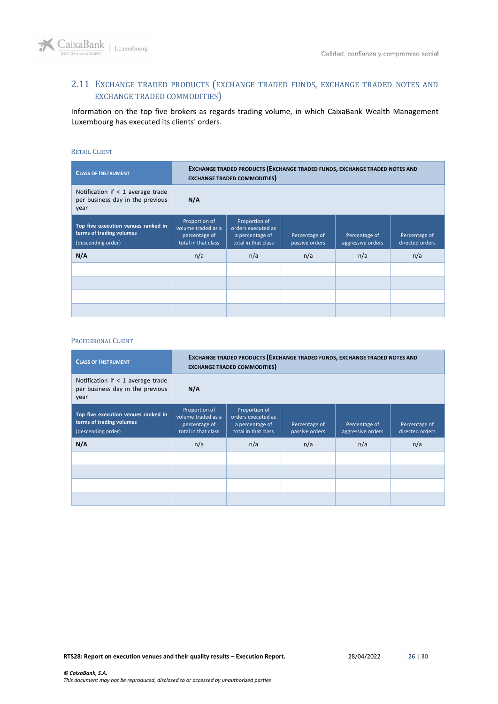

## <span id="page-25-0"></span>2.11 EXCHANGE TRADED PRODUCTS (EXCHANGE TRADED FUNDS, EXCHANGE TRADED NOTES AND EXCHANGE TRADED COMMODITIES)

Information on the top five brokers as regards trading volume, in which CaixaBank Wealth Management Luxembourg has executed its clients' orders.

### RETAIL CLIENT

| <b>CLASS OF INSTRUMENT</b>                                                            | EXCHANGE TRADED PRODUCTS (EXCHANGE TRADED FUNDS, EXCHANGE TRADED NOTES AND<br><b>EXCHANGE TRADED COMMODITIES</b> |                                                                               |                                 |                                    |                                  |  |
|---------------------------------------------------------------------------------------|------------------------------------------------------------------------------------------------------------------|-------------------------------------------------------------------------------|---------------------------------|------------------------------------|----------------------------------|--|
| Notification if $<$ 1 average trade<br>per business day in the previous<br>year       | N/A                                                                                                              |                                                                               |                                 |                                    |                                  |  |
| Top five execution venues ranked in<br>terms of trading volumes<br>(descending order) | Proportion of<br>volume traded as a<br>percentage of<br>total in that class                                      | Proportion of<br>orders executed as<br>a percentage of<br>total in that class | Percentage of<br>passive orders | Percentage of<br>aggressive orders | Percentage of<br>directed orders |  |
| N/A                                                                                   | n/a                                                                                                              | n/a                                                                           | n/a                             | n/a                                | n/a                              |  |
|                                                                                       |                                                                                                                  |                                                                               |                                 |                                    |                                  |  |
|                                                                                       |                                                                                                                  |                                                                               |                                 |                                    |                                  |  |
|                                                                                       |                                                                                                                  |                                                                               |                                 |                                    |                                  |  |
|                                                                                       |                                                                                                                  |                                                                               |                                 |                                    |                                  |  |

| <b>CLASS OF INSTRUMENT</b>                                                            | EXCHANGE TRADED PRODUCTS (EXCHANGE TRADED FUNDS, EXCHANGE TRADED NOTES AND<br><b>EXCHANGE TRADED COMMODITIES</b> |                                                                               |                                 |                                    |                                  |  |
|---------------------------------------------------------------------------------------|------------------------------------------------------------------------------------------------------------------|-------------------------------------------------------------------------------|---------------------------------|------------------------------------|----------------------------------|--|
| Notification if $<$ 1 average trade<br>per business day in the previous<br>year       | N/A                                                                                                              |                                                                               |                                 |                                    |                                  |  |
| Top five execution venues ranked in<br>terms of trading volumes<br>(descending order) | Proportion of<br>volume traded as a<br>percentage of<br>total in that class                                      | Proportion of<br>orders executed as<br>a percentage of<br>total in that class | Percentage of<br>passive orders | Percentage of<br>aggressive orders | Percentage of<br>directed orders |  |
| N/A                                                                                   | n/a                                                                                                              | n/a                                                                           | n/a                             | n/a                                | n/a                              |  |
|                                                                                       |                                                                                                                  |                                                                               |                                 |                                    |                                  |  |
|                                                                                       |                                                                                                                  |                                                                               |                                 |                                    |                                  |  |
|                                                                                       |                                                                                                                  |                                                                               |                                 |                                    |                                  |  |
|                                                                                       |                                                                                                                  |                                                                               |                                 |                                    |                                  |  |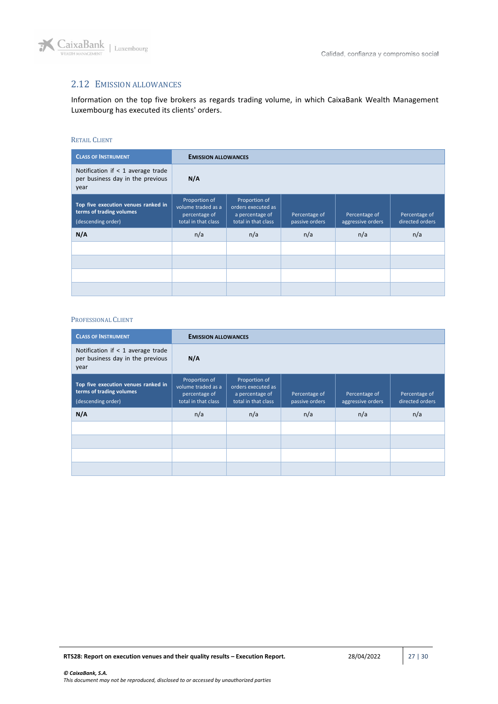

# <span id="page-26-0"></span>2.12 EMISSION ALLOWANCES

Information on the top five brokers as regards trading volume, in which CaixaBank Wealth Management Luxembourg has executed its clients' orders.

### RETAIL CLIENT

| <b>CLASS OF INSTRUMENT</b>                                                            |                                                                             | <b>EMISSION ALLOWANCES</b>                                                    |                                 |                                    |                                  |  |  |
|---------------------------------------------------------------------------------------|-----------------------------------------------------------------------------|-------------------------------------------------------------------------------|---------------------------------|------------------------------------|----------------------------------|--|--|
| Notification if $<$ 1 average trade<br>per business day in the previous<br>year       | N/A                                                                         |                                                                               |                                 |                                    |                                  |  |  |
| Top five execution venues ranked in<br>terms of trading volumes<br>(descending order) | Proportion of<br>volume traded as a<br>percentage of<br>total in that class | Proportion of<br>orders executed as<br>a percentage of<br>total in that class | Percentage of<br>passive orders | Percentage of<br>aggressive orders | Percentage of<br>directed orders |  |  |
| N/A                                                                                   | n/a                                                                         | n/a                                                                           | n/a                             | n/a                                | n/a                              |  |  |
|                                                                                       |                                                                             |                                                                               |                                 |                                    |                                  |  |  |
|                                                                                       |                                                                             |                                                                               |                                 |                                    |                                  |  |  |
|                                                                                       |                                                                             |                                                                               |                                 |                                    |                                  |  |  |
|                                                                                       |                                                                             |                                                                               |                                 |                                    |                                  |  |  |

| <b>CLASS OF INSTRUMENT</b>                                                            |                                                                             | <b>EMISSION ALLOWANCES</b>                                                    |                                 |                                    |                                  |  |  |
|---------------------------------------------------------------------------------------|-----------------------------------------------------------------------------|-------------------------------------------------------------------------------|---------------------------------|------------------------------------|----------------------------------|--|--|
| Notification if $<$ 1 average trade<br>per business day in the previous<br>year       | N/A                                                                         |                                                                               |                                 |                                    |                                  |  |  |
| Top five execution venues ranked in<br>terms of trading volumes<br>(descending order) | Proportion of<br>volume traded as a<br>percentage of<br>total in that class | Proportion of<br>orders executed as<br>a percentage of<br>total in that class | Percentage of<br>passive orders | Percentage of<br>aggressive orders | Percentage of<br>directed orders |  |  |
| N/A                                                                                   | n/a                                                                         | n/a                                                                           | n/a                             | n/a                                | n/a                              |  |  |
|                                                                                       |                                                                             |                                                                               |                                 |                                    |                                  |  |  |
|                                                                                       |                                                                             |                                                                               |                                 |                                    |                                  |  |  |
|                                                                                       |                                                                             |                                                                               |                                 |                                    |                                  |  |  |
|                                                                                       |                                                                             |                                                                               |                                 |                                    |                                  |  |  |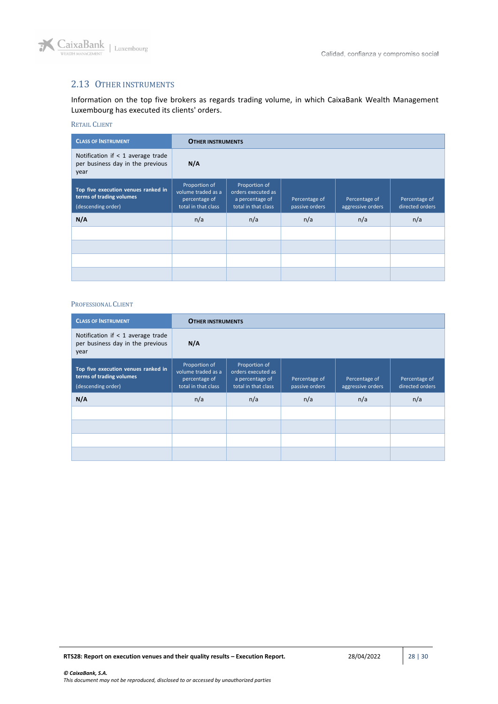

# <span id="page-27-0"></span>2.13 OTHER INSTRUMENTS

Information on the top five brokers as regards trading volume, in which CaixaBank Wealth Management Luxembourg has executed its clients' orders.

## RETAIL CLIENT

| <b>CLASS OF INSTRUMENT</b>                                                            |                                                                             | <b>OTHER INSTRUMENTS</b>                                                      |                                 |                                    |                                  |  |
|---------------------------------------------------------------------------------------|-----------------------------------------------------------------------------|-------------------------------------------------------------------------------|---------------------------------|------------------------------------|----------------------------------|--|
| Notification if $<$ 1 average trade<br>per business day in the previous<br>year       | N/A                                                                         |                                                                               |                                 |                                    |                                  |  |
| Top five execution venues ranked in<br>terms of trading volumes<br>(descending order) | Proportion of<br>volume traded as a<br>percentage of<br>total in that class | Proportion of<br>orders executed as<br>a percentage of<br>total in that class | Percentage of<br>passive orders | Percentage of<br>aggressive orders | Percentage of<br>directed orders |  |
| N/A                                                                                   | n/a                                                                         | n/a                                                                           | n/a                             | n/a                                | n/a                              |  |
|                                                                                       |                                                                             |                                                                               |                                 |                                    |                                  |  |
|                                                                                       |                                                                             |                                                                               |                                 |                                    |                                  |  |
|                                                                                       |                                                                             |                                                                               |                                 |                                    |                                  |  |
|                                                                                       |                                                                             |                                                                               |                                 |                                    |                                  |  |

| <b>CLASS OF INSTRUMENT</b>                                                            | <b>OTHER INSTRUMENTS</b>                                                    |                                                                               |                                 |                                    |                                  |
|---------------------------------------------------------------------------------------|-----------------------------------------------------------------------------|-------------------------------------------------------------------------------|---------------------------------|------------------------------------|----------------------------------|
| Notification if $<$ 1 average trade<br>per business day in the previous<br>year       | N/A                                                                         |                                                                               |                                 |                                    |                                  |
| Top five execution venues ranked in<br>terms of trading volumes<br>(descending order) | Proportion of<br>volume traded as a<br>percentage of<br>total in that class | Proportion of<br>orders executed as<br>a percentage of<br>total in that class | Percentage of<br>passive orders | Percentage of<br>aggressive orders | Percentage of<br>directed orders |
| N/A                                                                                   | n/a                                                                         | n/a                                                                           | n/a                             | n/a                                | n/a                              |
|                                                                                       |                                                                             |                                                                               |                                 |                                    |                                  |
|                                                                                       |                                                                             |                                                                               |                                 |                                    |                                  |
|                                                                                       |                                                                             |                                                                               |                                 |                                    |                                  |
|                                                                                       |                                                                             |                                                                               |                                 |                                    |                                  |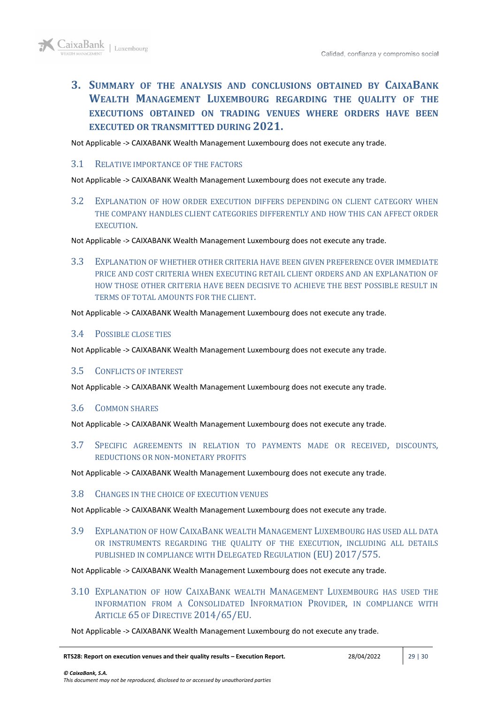<span id="page-28-0"></span>**3. SUMMARY OF THE ANALYSIS AND CONCLUSIONS OBTAINED BY CAIXABANK WEALTH MANAGEMENT LUXEMBOURG REGARDING THE QUALITY OF THE EXECUTIONS OBTAINED ON TRADING VENUES WHERE ORDERS HAVE BEEN EXECUTED OR TRANSMITTED DURING 2021.**

Not Applicable -> CAIXABANK Wealth Management Luxembourg does not execute any trade.

## <span id="page-28-1"></span>3.1 RELATIVE IMPORTANCE OF THE FACTORS

Not Applicable -> CAIXABANK Wealth Management Luxembourg does not execute any trade.

<span id="page-28-2"></span>3.2 EXPLANATION OF HOW ORDER EXECUTION DIFFERS DEPENDING ON CLIENT CATEGORY WHEN THE COMPANY HANDLES CLIENT CATEGORIES DIFFERENTLY AND HOW THIS CAN AFFECT ORDER EXECUTION.

Not Applicable -> CAIXABANK Wealth Management Luxembourg does not execute any trade.

<span id="page-28-3"></span>3.3 EXPLANATION OF WHETHER OTHER CRITERIA HAVE BEEN GIVEN PREFERENCE OVER IMMEDIATE PRICE AND COST CRITERIA WHEN EXECUTING RETAIL CLIENT ORDERS AND AN EXPLANATION OF HOW THOSE OTHER CRITERIA HAVE BEEN DECISIVE TO ACHIEVE THE BEST POSSIBLE RESULT IN TERMS OF TOTAL AMOUNTS FOR THE CLIENT.

Not Applicable -> CAIXABANK Wealth Management Luxembourg does not execute any trade.

### <span id="page-28-4"></span>3.4 POSSIBLE CLOSE TIES

Not Applicable -> CAIXABANK Wealth Management Luxembourg does not execute any trade.

### <span id="page-28-5"></span>3.5 CONFLICTS OF INTEREST

Not Applicable -> CAIXABANK Wealth Management Luxembourg does not execute any trade.

### <span id="page-28-6"></span>3.6 COMMON SHARES

Not Applicable -> CAIXABANK Wealth Management Luxembourg does not execute any trade.

<span id="page-28-7"></span>3.7 SPECIFIC AGREEMENTS IN RELATION TO PAYMENTS MADE OR RECEIVED, DISCOUNTS, REDUCTIONS OR NON-MONETARY PROFITS

Not Applicable -> CAIXABANK Wealth Management Luxembourg does not execute any trade.

### <span id="page-28-8"></span>3.8 CHANGES IN THE CHOICE OF EXECUTION VENUES

Not Applicable -> CAIXABANK Wealth Management Luxembourg does not execute any trade.

<span id="page-28-9"></span>3.9 EXPLANATION OF HOW CAIXABANK WEALTH MANAGEMENT LUXEMBOURG HAS USED ALL DATA OR INSTRUMENTS REGARDING THE QUALITY OF THE EXECUTION, INCLUDING ALL DETAILS PUBLISHED IN COMPLIANCE WITH DELEGATED REGULATION (EU) 2017/575.

Not Applicable -> CAIXABANK Wealth Management Luxembourg does not execute any trade.

<span id="page-28-10"></span>3.10 EXPLANATION OF HOW CAIXABANK WEALTH MANAGEMENT LUXEMBOURG HAS USED THE INFORMATION FROM A CONSOLIDATED INFORMATION PROVIDER, IN COMPLIANCE WITH ARTICLE 65 OF DIRECTIVE 2014/65/EU.

Not Applicable -> CAIXABANK Wealth Management Luxembourg do not execute any trade.